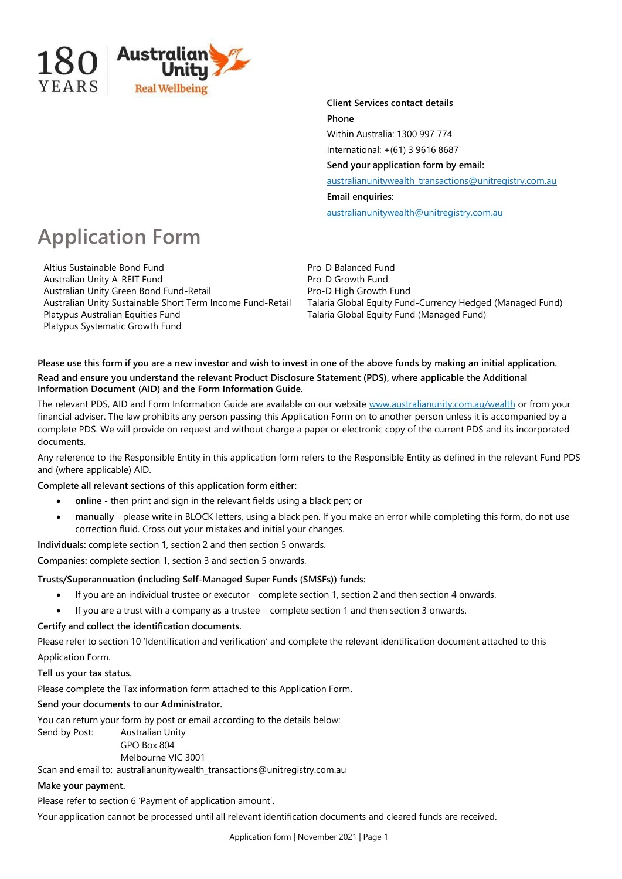

**Client Services contact details Phone** Within Australia: 1300 997 774 International: +(61) 3 9616 8687 **Send your application form by email:**

[australianunitywealth\\_transactions@unitregistry.com.au](mailto:australianunitywealth_transactions@unitregistry.com.au)

**Email enquiries:**

[australianunitywealth@unitregistry.com.au](mailto:australianunitywealth@unitregistry.com.au)

# **Application Form**

Altius Sustainable Bond Fund<br>
Australian Unity A-REIT Fund<br>
Pro-D Growth Fund Australian Unity A-REIT Fund<br>
Australian Unity Green Bond Fund-Retail<br>
Pro-D High Growth Fund Australian Unity Green Bond Fund-Retail Platypus Australian Equities Fund Talaria Global Equity Fund (Managed Fund) Platypus Systematic Growth Fund

Australian Unity Sustainable Short Term Income Fund-Retail Talaria Global Equity Fund-Currency Hedged (Managed Fund)

# Please use this form if you are a new investor and wish to invest in one of the above funds by making an initial application. **Read and ensure you understand the relevant Product Disclosure Statement (PDS), where applicable the Additional Information Document (AID) and the Form Information Guide.**

The relevant PDS, AID and Form Information Guide are available on our website www.australianunity.com.au/wealth or from your financial adviser. The law prohibits any person passing this Application Form on to another person unless it is accompanied by a complete PDS. We will provide on request and without charge a paper or electronic copy of the current PDS and its incorporated documents.

Any reference to the Responsible Entity in this application form refers to the Responsible Entity as defined in the relevant Fund PDS and (where applicable) AID.

# **Complete all relevant sections of this application form either:**

- **online** then print and sign in the relevant fields using a black pen; or
- **manually** please write in BLOCK letters, using a black pen. If you make an error while completing this form, do not use correction fluid. Cross out your mistakes and initial your changes.

**Individuals:** complete section 1, section 2 and then section 5 onwards.

**Companies:** complete section 1, section 3 and section 5 onwards.

# **Trusts/Superannuation (including Self-Managed Super Funds (SMSFs)) funds:**

- If you are an individual trustee or executor complete section 1, section 2 and then section 4 onwards.
- If you are a trust with a company as a trustee complete section 1 and then section 3 onwards.

# **Certify and collect the identification documents.**

Please refer to section 10 'Identification and verification' and complete the relevant identification document attached to this Application Form.

# **Tell us your tax status.**

Please complete the Tax information form attached to this Application Form.

# **Send your documents to our Administrator.**

You can return your form by post or email according to the details below:

Send by Post: Australian Unity GPO Box 804 Melbourne VIC 3001

Scan and email to: [australianunitywealth\\_transactions@unitregistry.com.au](mailto:australianunitywealth_transactions@unitregistry.com.au)

# **Make your payment.**

Please refer to section 6 'Payment of application amount'.

Your application cannot be processed until all relevant identification documents and cleared funds are received.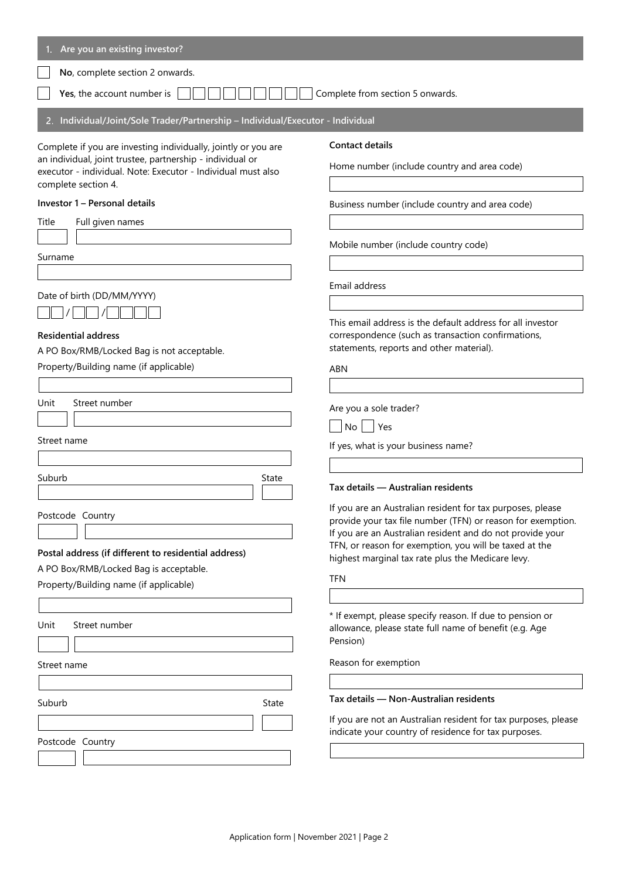| Are you an existing investor?                                                                                                                                                                                      |                                                                                                                                                                                                                                                                                                       |
|--------------------------------------------------------------------------------------------------------------------------------------------------------------------------------------------------------------------|-------------------------------------------------------------------------------------------------------------------------------------------------------------------------------------------------------------------------------------------------------------------------------------------------------|
| No, complete section 2 onwards.                                                                                                                                                                                    |                                                                                                                                                                                                                                                                                                       |
| Yes, the account number is                                                                                                                                                                                         | Complete from section 5 onwards.                                                                                                                                                                                                                                                                      |
| Individual/Joint/Sole Trader/Partnership - Individual/Executor - Individual<br>2.                                                                                                                                  |                                                                                                                                                                                                                                                                                                       |
| Complete if you are investing individually, jointly or you are<br>an individual, joint trustee, partnership - individual or<br>executor - individual. Note: Executor - Individual must also<br>complete section 4. | <b>Contact details</b><br>Home number (include country and area code)                                                                                                                                                                                                                                 |
| Investor 1 - Personal details                                                                                                                                                                                      | Business number (include country and area code)                                                                                                                                                                                                                                                       |
| Full given names<br>Title                                                                                                                                                                                          |                                                                                                                                                                                                                                                                                                       |
| Surname                                                                                                                                                                                                            | Mobile number (include country code)                                                                                                                                                                                                                                                                  |
| Date of birth (DD/MM/YYYY)                                                                                                                                                                                         | Email address                                                                                                                                                                                                                                                                                         |
| <b>Residential address</b><br>A PO Box/RMB/Locked Bag is not acceptable.<br>Property/Building name (if applicable)                                                                                                 | This email address is the default address for all investor<br>correspondence (such as transaction confirmations,<br>statements, reports and other material).<br><b>ABN</b>                                                                                                                            |
| Unit<br>Street number                                                                                                                                                                                              | Are you a sole trader?<br>$No$   Yes                                                                                                                                                                                                                                                                  |
| Street name                                                                                                                                                                                                        | If yes, what is your business name?                                                                                                                                                                                                                                                                   |
| Suburb<br>State                                                                                                                                                                                                    | Tax details - Australian residents                                                                                                                                                                                                                                                                    |
| Postcode Country<br>Postal address (if different to residential address)                                                                                                                                           | If you are an Australian resident for tax purposes, please<br>provide your tax file number (TFN) or reason for exemption.<br>If you are an Australian resident and do not provide your<br>TFN, or reason for exemption, you will be taxed at the<br>highest marginal tax rate plus the Medicare levy. |
| A PO Box/RMB/Locked Bag is acceptable.<br>Property/Building name (if applicable)                                                                                                                                   | <b>TFN</b>                                                                                                                                                                                                                                                                                            |
| Street number<br>Unit                                                                                                                                                                                              | * If exempt, please specify reason. If due to pension or<br>allowance, please state full name of benefit (e.g. Age<br>Pension)                                                                                                                                                                        |
| Street name                                                                                                                                                                                                        | Reason for exemption                                                                                                                                                                                                                                                                                  |
| Suburb<br>State                                                                                                                                                                                                    | Tax details - Non-Australian residents                                                                                                                                                                                                                                                                |
|                                                                                                                                                                                                                    | If you are not an Australian resident for tax purposes, please<br>indicate your country of residence for tax purposes.                                                                                                                                                                                |
| Postcode Country                                                                                                                                                                                                   |                                                                                                                                                                                                                                                                                                       |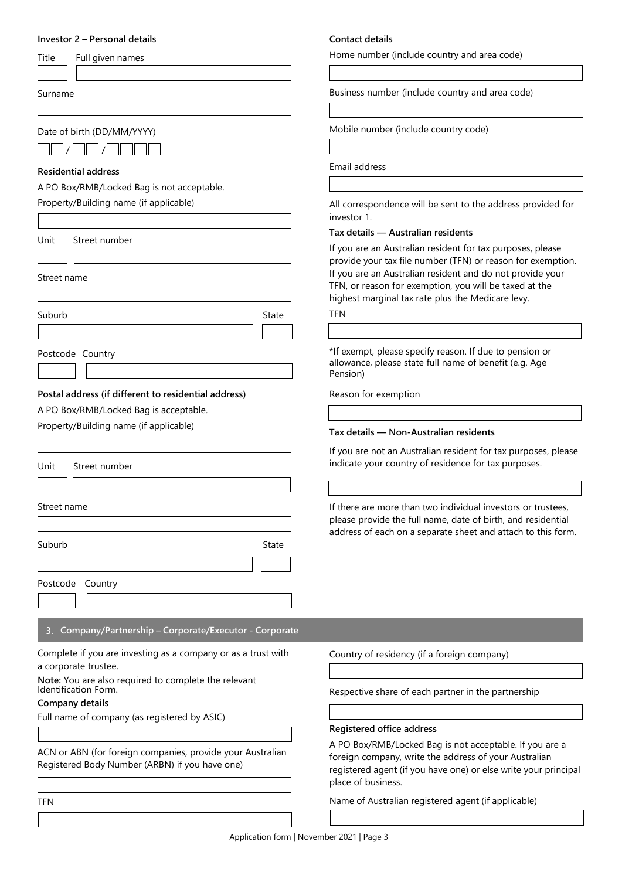## **Investor 2 – Personal details**

| Title | Full given |
|-------|------------|
|       |            |

Surname

Date of birth (DD/MM/YYYY)

/ /

#### **Residential address**

A PO Box/RMB/Locked Bag is not acceptable.

names

Property/Building name (if applicable)

|                                                                                                              | investor 1.                                                                                 |
|--------------------------------------------------------------------------------------------------------------|---------------------------------------------------------------------------------------------|
| Unit<br>Street number                                                                                        | Tax details - Australian residents                                                          |
|                                                                                                              | If you are an Australian resident for tax purp                                              |
|                                                                                                              | provide your tax file number (TFN) or reaso<br>If you are an Australian resident and do not |
| Street name                                                                                                  | TFN, or reason for exemption, you will be ta                                                |
|                                                                                                              | highest marginal tax rate plus the Medicare                                                 |
| Suburb<br>State                                                                                              | TFN                                                                                         |
|                                                                                                              |                                                                                             |
| Postcode Country                                                                                             | *If exempt, please specify reason. If due to I                                              |
|                                                                                                              | allowance, please state full name of benefit<br>Pension)                                    |
|                                                                                                              |                                                                                             |
| Postal address (if different to residential address)<br>A PO Box/RMB/Locked Bag is acceptable.               | Reason for exemption                                                                        |
| Property/Building name (if applicable)                                                                       |                                                                                             |
|                                                                                                              | Tax details - Non-Australian residents                                                      |
|                                                                                                              | If you are not an Australian resident for tax                                               |
| Street number<br>Unit                                                                                        | indicate your country of residence for tax p                                                |
|                                                                                                              |                                                                                             |
| Street name                                                                                                  | If there are more than two individual invested                                              |
|                                                                                                              | please provide the full name, date of birth,                                                |
|                                                                                                              | address of each on a separate sheet and att                                                 |
| Suburb<br>State                                                                                              |                                                                                             |
|                                                                                                              |                                                                                             |
| Postcode Country                                                                                             |                                                                                             |
|                                                                                                              |                                                                                             |
| Company/Partnership - Corporate/Executor - Corporate<br>3.                                                   |                                                                                             |
|                                                                                                              |                                                                                             |
| Complete if you are investing as a company or as a trust with<br>a corporate trustee.                        | Country of residency (if a foreign company)                                                 |
| Note: You are also required to complete the relevant                                                         |                                                                                             |
| Identification Form.                                                                                         | Respective share of each partner in the part                                                |
| Company details                                                                                              |                                                                                             |
| Full name of company (as registered by ASIC)                                                                 | Registered office address                                                                   |
|                                                                                                              | A PO Box/RMB/Locked Bag is not acceptab                                                     |
| ACN or ABN (for foreign companies, provide your Australian<br>Registered Body Number (ARBN) if you have one) | foreign company, write the address of your                                                  |
|                                                                                                              | registered agent (if you have one) or else w                                                |
|                                                                                                              | place of business.                                                                          |
| <b>TFN</b>                                                                                                   | Name of Australian registered agent (if app                                                 |

## **Contact details**

Home number (include country and area code)

Business number (include country and area code)

Mobile number (include country code)

Email address

All correspondence will be sent to the address provided for investor 1.

#### **Tax details — Australian residents**

ustralian resident for tax purposes, please ax file number (TFN) or reason for exemption. ustralian resident and do not provide your for exemption, you will be taxed at the al tax rate plus the Medicare levy.

ase specify reason. If due to pension or ase state full name of benefit (e.g. Age

#### **Tax details — Non-Australian residents**

an Australian resident for tax purposes, please country of residence for tax purposes.

If there than two individual investors or trustees, the full name, date of birth, and residential h on a separate sheet and attach to this form.

re of each partner in the partnership

#### **Registered office address**

3/Locked Bag is not acceptable. If you are a iny, write the address of your Australian nt (if you have one) or else write your principal ess.

alian registered agent (if applicable)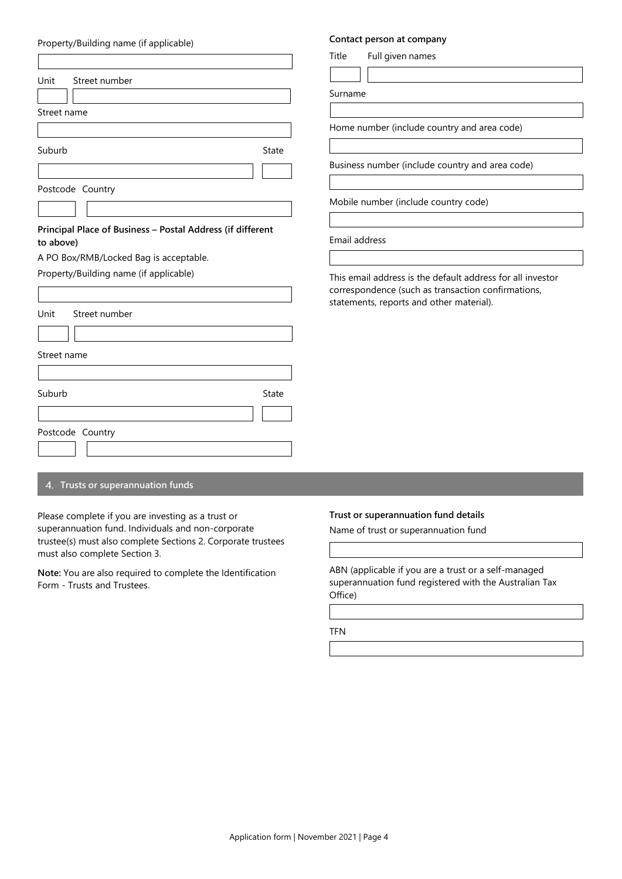| Property/Building name (if applicable)                                                                                                                      |              | contact person at company                                                                                          |
|-------------------------------------------------------------------------------------------------------------------------------------------------------------|--------------|--------------------------------------------------------------------------------------------------------------------|
|                                                                                                                                                             |              | Full given names<br>Title                                                                                          |
| Unit<br>Street number                                                                                                                                       |              | Surname                                                                                                            |
| Street name                                                                                                                                                 |              |                                                                                                                    |
|                                                                                                                                                             |              | Home number (include countr                                                                                        |
| Suburb                                                                                                                                                      | State        |                                                                                                                    |
|                                                                                                                                                             |              | Business number (include cour                                                                                      |
| Postcode Country                                                                                                                                            |              |                                                                                                                    |
|                                                                                                                                                             |              | Mobile number (include count                                                                                       |
| Principal Place of Business - Postal Address (if different<br>to above)<br>A PO Box/RMB/Locked Bag is acceptable.<br>Property/Building name (if applicable) |              | Email address<br>This email address is the defau<br>correspondence (such as trans<br>statements, reports and other |
| Unit<br>Street number                                                                                                                                       |              |                                                                                                                    |
|                                                                                                                                                             |              |                                                                                                                    |
| Street name                                                                                                                                                 |              |                                                                                                                    |
|                                                                                                                                                             |              |                                                                                                                    |
| Suburb                                                                                                                                                      | <b>State</b> |                                                                                                                    |
| Postcode Country                                                                                                                                            |              |                                                                                                                    |

# **Trusts or superannuation funds**

Please complete if you are investing as a trust or superannuation fund. Individuals and non-corporate trustee(s) must also complete Sections 2. Corporate trustees must also complete Section 3.

**Note:** You are also required to complete the Identification Form - Trusts and Trustees.

## **Trust or superannuation fund details**

Name of trust or superannuation fund

ABN (applicable if you are a trust or a self-managed superannuation fund registered with the Australian Tax Office)

TFN

# **Contact person at company**

y and area code)

ntry and area code)

try code)

alt address for all investor action confirmations, material).

# Property/Building name (if applicable)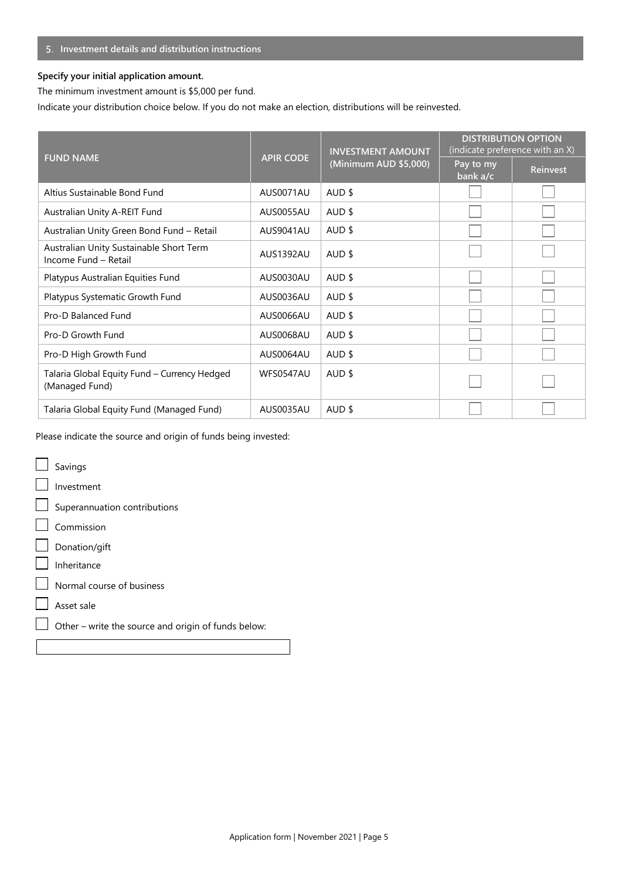# **Investment details and distribution instructions**

# **Specify your initial application amount.**

The minimum investment amount is \$5,000 per fund.

Indicate your distribution choice below. If you do not make an election, distributions will be reinvested.

|                                                                 | <b>INVESTMENT AMOUNT</b> |                       | <b>DISTRIBUTION OPTION</b><br>(indicate preference with an X) |          |
|-----------------------------------------------------------------|--------------------------|-----------------------|---------------------------------------------------------------|----------|
| <b>FUND NAME</b>                                                | <b>APIR CODE</b>         | (Minimum AUD \$5,000) | Pay to my<br>bank a/c                                         | Reinvest |
| Altius Sustainable Bond Fund                                    | AUS0071AU                | AUD \$                |                                                               |          |
| Australian Unity A-REIT Fund                                    | AUS0055AU                | AUD \$                |                                                               |          |
| Australian Unity Green Bond Fund - Retail                       | AUS9041AU                | AUD \$                |                                                               |          |
| Australian Unity Sustainable Short Term<br>Income Fund - Retail | AUS1392AU                | AUD \$                |                                                               |          |
| Platypus Australian Equities Fund                               | AUS0030AU                | AUD \$                |                                                               |          |
| Platypus Systematic Growth Fund                                 | AUS0036AU                | AUD \$                |                                                               |          |
| Pro-D Balanced Fund                                             | AUS0066AU                | AUD \$                |                                                               |          |
| Pro-D Growth Fund                                               | AUS0068AU                | AUD \$                |                                                               |          |
| Pro-D High Growth Fund                                          | AUS0064AU                | AUD \$                |                                                               |          |
| Talaria Global Equity Fund - Currency Hedged<br>(Managed Fund)  | WFS0547AU                | AUD \$                |                                                               |          |
| Talaria Global Equity Fund (Managed Fund)                       | AUS0035AU                | AUD \$                |                                                               |          |

Please indicate the source and origin of funds being invested:

| Savings                                             |
|-----------------------------------------------------|
| Investment                                          |
| $\Box$ Superannuation contributions                 |
| Commission                                          |
| $\Box$ Donation/gift                                |
| Inheritance                                         |
| $\Box$ Normal course of business                    |
| Asset sale                                          |
| Other - write the source and origin of funds below: |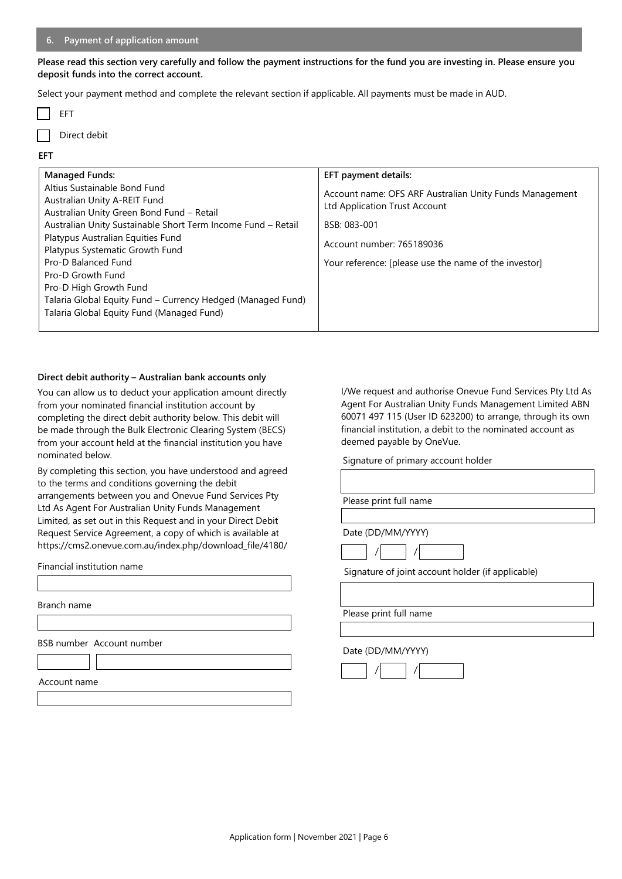#### **6. Payment of application amount**

**Please read this section very carefully and follow the payment instructions for the fund you are investing in. Please ensure you deposit funds into the correct account.** 

Select your payment method and complete the relevant section if applicable. All payments must be made in AUD.

|--|--|

Direct debit

#### **EFT**

| <b>Managed Funds:</b>                                        | EFT payment details:                                    |
|--------------------------------------------------------------|---------------------------------------------------------|
| Altius Sustainable Bond Fund                                 | Account name: OFS ARF Australian Unity Funds Management |
| Australian Unity A-REIT Fund                                 | Ltd Application Trust Account                           |
| Australian Unity Green Bond Fund - Retail                    |                                                         |
| Australian Unity Sustainable Short Term Income Fund - Retail | BSB: 083-001                                            |
| Platypus Australian Equities Fund                            | Account number: 765189036                               |
| Platypus Systematic Growth Fund                              |                                                         |
| Pro-D Balanced Fund                                          | Your reference: [please use the name of the investor]   |
| Pro-D Growth Fund                                            |                                                         |
| Pro-D High Growth Fund                                       |                                                         |
| Talaria Global Equity Fund - Currency Hedged (Managed Fund)  |                                                         |
| Talaria Global Equity Fund (Managed Fund)                    |                                                         |

# **Direct debit authority – Australian bank accounts only**

You can allow us to deduct your application amount directly from your nominated financial institution account by completing the direct debit authority below. This debit will be made through the Bulk Electronic Clearing System (BECS) from your account held at the financial institution you have nominated below.

By completing this section, you have understood and agreed to the terms and conditions governing the debit arrangements between you and Onevue Fund Services Pty Ltd As Agent For Australian Unity Funds Management Limited, as set out in this Request and in your Direct Debit Request Service Agreement, a copy of which is available at https://cms2.onevue.com.au/index.php/download\_file/4180/

Financial institution name

Branch name

BSB number Account number

Account name

I/We request and authorise Onevue Fund Services Pty Ltd As Agent For Australian Unity Funds Management Limited ABN 60071 497 115 (User ID 623200) to arrange, through its own financial institution, a debit to the nominated account as deemed payable by OneVue.

Signature of primary account holder

| Please print full name |  |  |  |
|------------------------|--|--|--|
|------------------------|--|--|--|

Date (DD/MM/YYYY)

Signature of joint account holder (if applicable)

Please print full name

#### Date (DD/MM/YYYY)

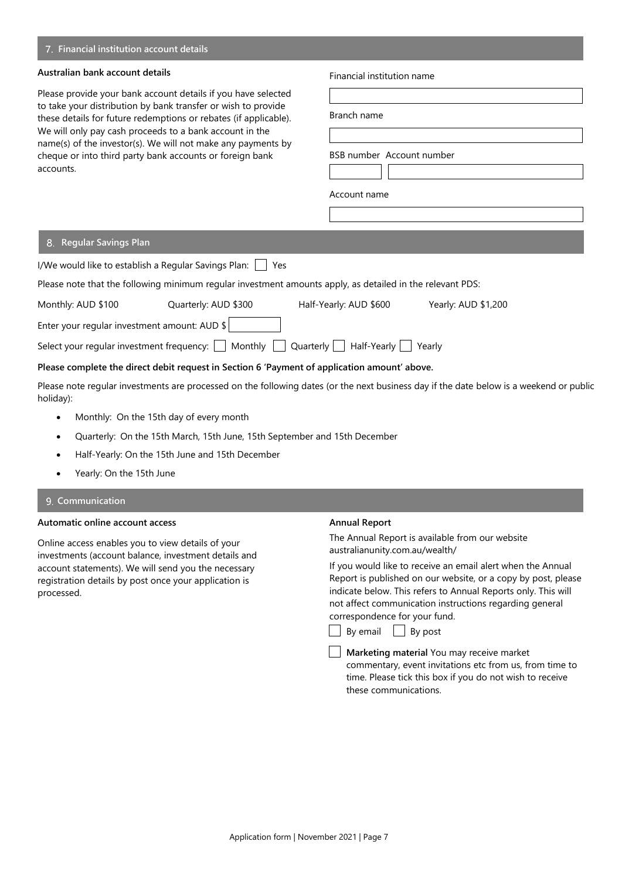# **Financial institution account details**

#### **Australian bank account details**

Please provide your bank account details if you have selected to take your distribution by bank transfer or wish to provide these details for future redemptions or rebates (if applicable). We will only pay cash proceeds to a bank account in the name(s) of the investor(s). We will not make any payments by cheque or into third party bank accounts or foreign bank accounts.

#### Financial institution name

| Branch name  |                           |
|--------------|---------------------------|
|              |                           |
|              | BSB number Account number |
|              |                           |
| Account name |                           |
|              |                           |

#### **Regular Savings Plan**

|                                                                                                                                                                                 | I/We would like to establish a Regular Savings Plan:<br>Yes |                                                                                              |                     |  |
|---------------------------------------------------------------------------------------------------------------------------------------------------------------------------------|-------------------------------------------------------------|----------------------------------------------------------------------------------------------|---------------------|--|
| Please note that the following minimum regular investment amounts apply, as detailed in the relevant PDS:                                                                       |                                                             |                                                                                              |                     |  |
| Monthly: AUD \$100                                                                                                                                                              | Quarterly: AUD \$300                                        | Half-Yearly: AUD \$600                                                                       | Yearly: AUD \$1,200 |  |
| Enter your regular investment amount: AUD $\frac{1}{2}$                                                                                                                         |                                                             |                                                                                              |                     |  |
| Select your regular investment frequency: $\begin{array}{ c c c c c c }\n\hline\n\text{Monthly} & \text{Quarterly} & \text{Half-Yearly} & \text{Yearly} \\ \hline\n\end{array}$ |                                                             |                                                                                              |                     |  |
|                                                                                                                                                                                 |                                                             | Please complete the direct debit request in Section 6 'Payment of application amount' above. |                     |  |

Please note regular investments are processed on the following dates (or the next business day if the date below is a weekend or public holiday):

- Monthly: On the 15th day of every month
- Quarterly: On the 15th March, 15th June, 15th September and 15th December
- Half-Yearly: On the 15th June and 15th December
- Yearly: On the 15th June

### **9. Communication**

# **Automatic online account access**

Online access enables you to view details of your investments (account balance, investment details and account statements). We will send you the necessary registration details by post once your application is processed.

#### **Annual Report**

The Annual Report is available from our website australianunity.com.au/wealth/

If you would like to receive an email alert when the Annual Report is published on our website, or a copy by post, please indicate below. This refers to Annual Reports only. This will not affect communication instructions regarding general correspondence for your fund.



 $\Box$  By email  $\Box$  By post

**Marketing material** You may receive market commentary, event invitations etc from us, from time to time. Please tick this box if you do not wish to receive these communications.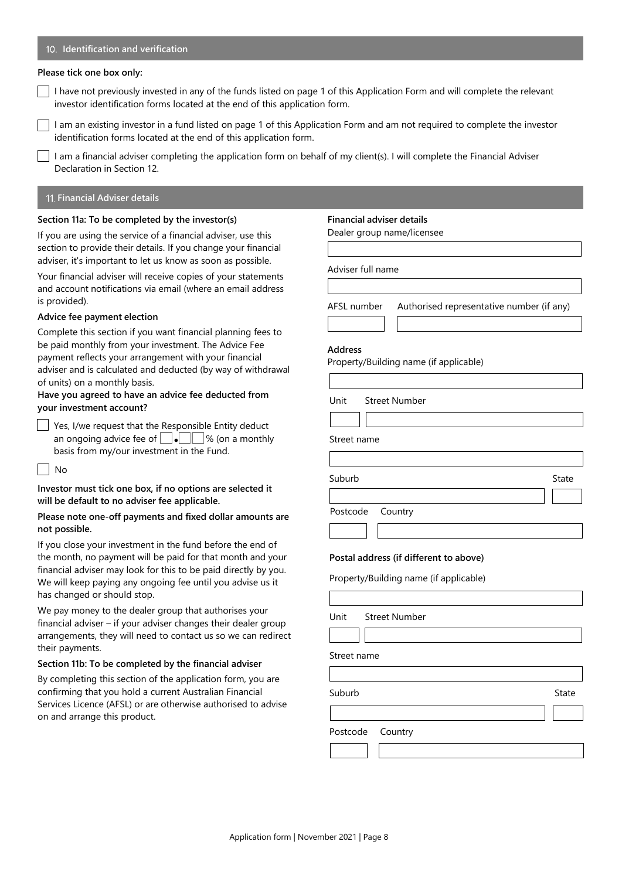#### **Identification and verification**

#### **Please tick one box only:**

I have not previously invested in any of the funds listed on page 1 of this Application Form and will complete the relevant investor identification forms located at the end of this application form.

I am an existing investor in a fund listed on page 1 of this Application Form and am not required to complete the investor identification forms located at the end of this application form.

I am a financial adviser completing the application form on behalf of my client(s). I will complete the Financial Adviser Declaration in Section 12.

# **Financial Adviser details**

#### **Section 11a: To be completed by the investor(s)**

If you are using the service of a financial adviser, use this section to provide their details. If you change your financial adviser, it's important to let us know as soon as possible.

Your financial adviser will receive copies of your statements and account notifications via email (where an email address is provided).

### **Advice fee payment election**

Complete this section if you want financial planning fees to be paid monthly from your investment. The Advice Fee payment reflects your arrangement with your financial adviser and is calculated and deducted (by way of withdrawal of units) on a monthly basis.

## **Have you agreed to have an advice fee deducted from your investment account?**

Solution 1985, I/we request that the Responsible Entity deduct<br>  $\Box$  The conscious advise for at  $\Box$  The conservation an ongoing advice fee of  $\bigsqcup \bullet \bigsqcup \emptyset$  (on a monthly basis from my/our investment in the Fund.

 $\overline{\phantom{a}}$  No oN

# **Investor must tick one box, if no options are selected it** o **will be default to no adviser fee applicable.** N

# **Please note one-off payments and fixed dollar amounts are riease note de**<br>not possible.

If you close your investment in the fund before the end of the month, no payment will be paid for that month and your financial adviser may look for this to be paid directly by you. We will keep paying any ongoing fee until you advise us it has changed or should stop.

We pay money to the dealer group that authorises your financial adviser – if your adviser changes their dealer group arrangements, they will need to contact us so we can redirect their payments.

#### **Section 11b: To be completed by the financial adviser**

By completing this section of the application form, you are confirming that you hold a current Australian Financial Services Licence (AFSL) or are otherwise authorised to advise on and arrange this product.

#### **Financial adviser details**

Dealer group name/licensee

Adviser full name

AFSL number Authorised representative number (if any)

Suburb Suburb State Suburb State State State State State State State State State State State State State State

#### **Address**

 $\overline{\mathsf{L}}$ 

Property/Building name (if applicable)

Unit Street Number

Street name

Postcode Country

#### **Postal address (if different to above)**

Property/Building name (if applicable)

|             | Unit Street Number |       |
|-------------|--------------------|-------|
|             |                    |       |
| Street name |                    |       |
|             |                    |       |
| Suburb      |                    | State |
|             |                    |       |
|             | Postcode Country   |       |
|             |                    |       |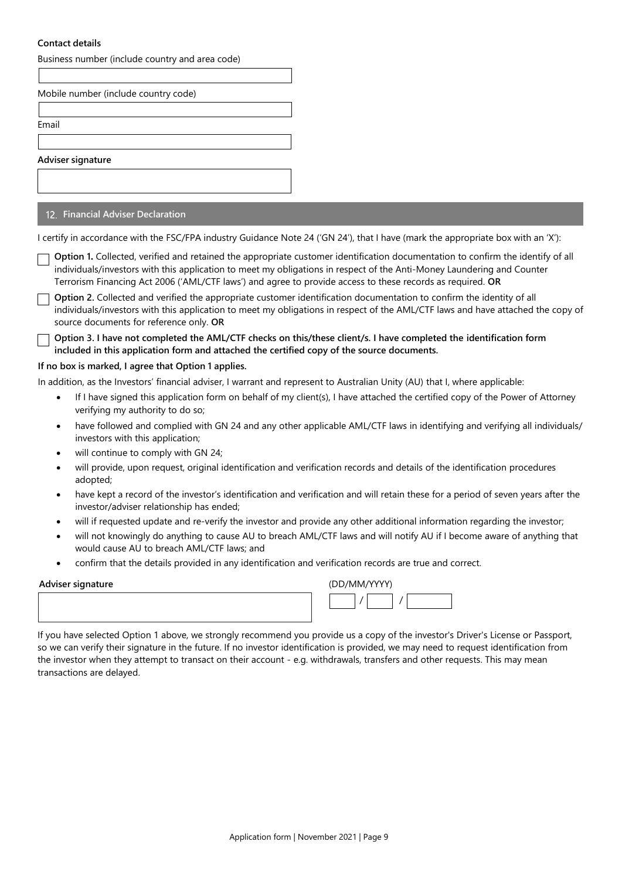# **Contact details**

| Business number (include country and area code)                                                                                                                                                                                                                                                                                                                         |  |
|-------------------------------------------------------------------------------------------------------------------------------------------------------------------------------------------------------------------------------------------------------------------------------------------------------------------------------------------------------------------------|--|
| Mobile number (include country code)                                                                                                                                                                                                                                                                                                                                    |  |
|                                                                                                                                                                                                                                                                                                                                                                         |  |
| Email                                                                                                                                                                                                                                                                                                                                                                   |  |
|                                                                                                                                                                                                                                                                                                                                                                         |  |
| Adviser signature                                                                                                                                                                                                                                                                                                                                                       |  |
|                                                                                                                                                                                                                                                                                                                                                                         |  |
| 12. Financial Adviser Declaration                                                                                                                                                                                                                                                                                                                                       |  |
| I certify in accordance with the FSC/FPA industry Guidance Note 24 ('GN 24'), that I have (mark the appropriate box with an 'X'):                                                                                                                                                                                                                                       |  |
| Option 1. Collected, verified and retained the appropriate customer identification documentation to confirm the identify of all<br>individuals/investors with this application to meet my obligations in respect of the Anti-Money Laundering and Counter<br>Terrorism Financing Act 2006 ('AML/CTF laws') and agree to provide access to these records as required. OR |  |
| Option 2. Collected and verified the appropriate customer identification documentation to confirm the identity of all<br>individuals/investors with this application to meet my obligations in respect of the AML/CTF laws and have attached the copy of<br>source documents for reference only. OR                                                                     |  |
| Option 3. I have not completed the AML/CTF checks on this/these client/s. I have completed the identification form<br>included in this application form and attached the certified copy of the source documents.                                                                                                                                                        |  |
| If no box is marked, I agree that Option 1 applies.                                                                                                                                                                                                                                                                                                                     |  |
| In addition, as the Investors' financial adviser, I warrant and represent to Australian Unity (AU) that I, where applicable:                                                                                                                                                                                                                                            |  |
| If I have signed this application form on behalf of my client(s), I have attached the certified copy of the Power of Attorney<br>$\bullet$<br>verifying my authority to do so;                                                                                                                                                                                          |  |
| have followed and complied with GN 24 and any other applicable AML/CTF laws in identifying and verifying all individuals/<br>$\bullet$<br>investors with this application;                                                                                                                                                                                              |  |
| will continue to comply with GN 24;<br>$\bullet$                                                                                                                                                                                                                                                                                                                        |  |
| will provide, upon request, original identification and verification records and details of the identification procedures<br>$\bullet$<br>adopted;                                                                                                                                                                                                                      |  |
| have kept a record of the investor's identification and verification and will retain these for a period of seven years after the<br>$\bullet$<br>investor/adviser relationship has ended;                                                                                                                                                                               |  |
| will if requested update and re-verify the investor and provide any other additional information regarding the investor;<br>$\bullet$                                                                                                                                                                                                                                   |  |
| will not knowingly do anything to cause AU to breach AML/CTF laws and will notify AU if I become aware of anything that<br>$\bullet$<br>would cause AU to breach AML/CTF laws; and                                                                                                                                                                                      |  |
| confirm that the details provided in any identification and verification records are true and correct.                                                                                                                                                                                                                                                                  |  |
| $/$ DD $/$ MM $/$ M $/$ M $/$<br>Advicer cianature                                                                                                                                                                                                                                                                                                                      |  |

| Adviser signature | (UU/WIW/YYY) |  |
|-------------------|--------------|--|
|                   |              |  |

| (DD/MM/YYYY) |  |
|--------------|--|
|              |  |

If you have selected Option 1 above, we strongly recommend you provide us a copy of the investor's Driver's License or Passport, so we can verify their signature in the future. If no investor identification is provided, we may need to request identification from the investor when they attempt to transact on their account - e.g. withdrawals, transfers and other requests. This may mean transactions are delayed.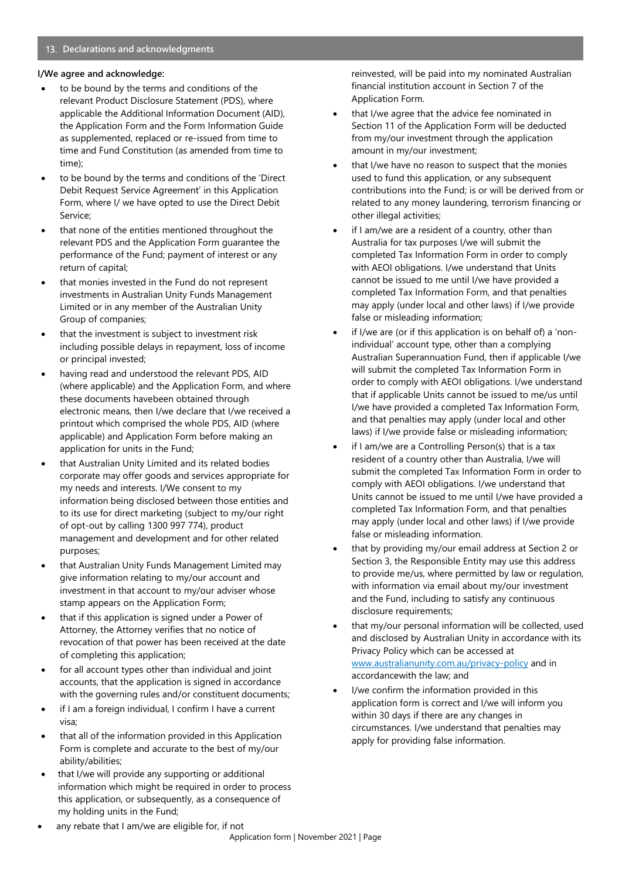# **Declarations and acknowledgments**

# **I/We agree and acknowledge:**

- to be bound by the terms and conditions of the relevant Product Disclosure Statement (PDS), where applicable the Additional Information Document (AID), the Application Form and the Form Information Guide as supplemented, replaced or re-issued from time to time and Fund Constitution (as amended from time to time);
- to be bound by the terms and conditions of the 'Direct Debit Request Service Agreement' in this Application Form, where I/ we have opted to use the Direct Debit Service;
- that none of the entities mentioned throughout the relevant PDS and the Application Form guarantee the performance of the Fund; payment of interest or any return of capital;
- that monies invested in the Fund do not represent investments in Australian Unity Funds Management Limited or in any member of the Australian Unity Group of companies;
- that the investment is subject to investment risk including possible delays in repayment, loss of income or principal invested;
- having read and understood the relevant PDS, AID (where applicable) and the Application Form, and where these documents havebeen obtained through electronic means, then I/we declare that I/we received a printout which comprised the whole PDS, AID (where applicable) and Application Form before making an application for units in the Fund;
- that Australian Unity Limited and its related bodies corporate may offer goods and services appropriate for my needs and interests. I/We consent to my information being disclosed between those entities and to its use for direct marketing (subject to my/our right of opt-out by calling 1300 997 774), product management and development and for other related purposes;
- that Australian Unity Funds Management Limited may give information relating to my/our account and investment in that account to my/our adviser whose stamp appears on the Application Form;
- that if this application is signed under a Power of Attorney, the Attorney verifies that no notice of revocation of that power has been received at the date of completing this application;
- for all account types other than individual and joint accounts, that the application is signed in accordance with the governing rules and/or constituent documents;
- if I am a foreign individual, I confirm I have a current visa;
- that all of the information provided in this Application Form is complete and accurate to the best of my/our ability/abilities;
- that I/we will provide any supporting or additional information which might be required in order to process this application, or subsequently, as a consequence of my holding units in the Fund;

reinvested, will be paid into my nominated Australian financial institution account in Section 7 of the Application Form.

- that I/we agree that the advice fee nominated in Section 11 of the Application Form will be deducted from my/our investment through the application amount in my/our investment;
- that I/we have no reason to suspect that the monies used to fund this application, or any subsequent contributions into the Fund; is or will be derived from or related to any money laundering, terrorism financing or other illegal activities;
- if I am/we are a resident of a country, other than Australia for tax purposes I/we will submit the completed Tax Information Form in order to comply with AEOI obligations. I/we understand that Units cannot be issued to me until I/we have provided a completed Tax Information Form, and that penalties may apply (under local and other laws) if I/we provide false or misleading information;
- if I/we are (or if this application is on behalf of) a 'nonindividual' account type, other than a complying Australian Superannuation Fund, then if applicable I/we will submit the completed Tax Information Form in order to comply with AEOI obligations. I/we understand that if applicable Units cannot be issued to me/us until I/we have provided a completed Tax Information Form, and that penalties may apply (under local and other laws) if I/we provide false or misleading information;
- if I am/we are a Controlling Person(s) that is a tax resident of a country other than Australia, I/we will submit the completed Tax Information Form in order to comply with AEOI obligations. I/we understand that Units cannot be issued to me until I/we have provided a completed Tax Information Form, and that penalties may apply (under local and other laws) if I/we provide false or misleading information.
- that by providing my/our email address at Section 2 or Section 3, the Responsible Entity may use this address to provide me/us, where permitted by law or regulation, with information via email about my/our investment and the Fund, including to satisfy any continuous disclosure requirements;
- that my/our personal information will be collected, used and disclosed by Australian Unity in accordance with its Privacy Policy which can be accessed at www.australianunity.com.au/privacy-policy and in accordancewith the law; and
- I/we confirm the information provided in this application form is correct and I/we will inform you within 30 days if there are any changes in circumstances. I/we understand that penalties may apply for providing false information.
- any rebate that I am/we are eligible for, if not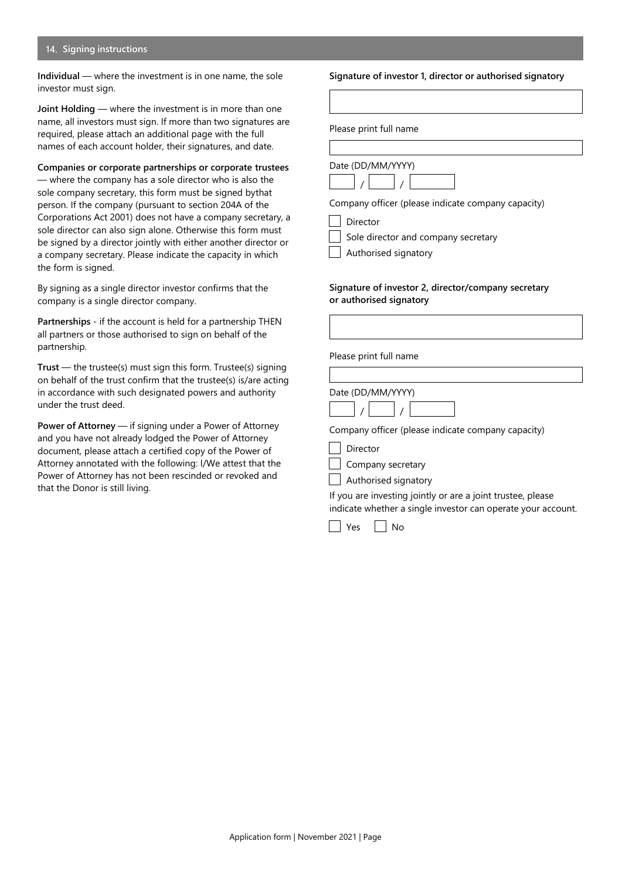## **Signing instructions**

**Individual** — where the investment is in one name, the sole investor must sign.

**Joint Holding** — where the investment is in more than one name, all investors must sign. If more than two signatures are required, please attach an additional page with the full names of each account holder, their signatures, and date.

**Companies or corporate partnerships or corporate trustees** — where the company has a sole director who is also the sole company secretary, this form must be signed bythat person. If the company (pursuant to section 204A of the Corporations Act 2001) does not have a company secretary, a sole director can also sign alone. Otherwise this form must be signed by a director jointly with either another director or a company secretary. Please indicate the capacity in which the form is signed.

By signing as a single director investor confirms that the company is a single director company.

**Partnerships** - if the account is held for a partnership THEN all partners or those authorised to sign on behalf of the partnership.

**Trust** — the trustee(s) must sign this form. Trustee(s) signing on behalf of the trust confirm that the trustee(s) is/are acting in accordance with such designated powers and authority under the trust deed.

**Power of Attorney** — if signing under a Power of Attorney and you have not already lodged the Power of Attorney document, please attach a certified copy of the Power of Attorney annotated with the following: I/We attest that the Power of Attorney has not been rescinded or revoked and that the Donor is still living.

#### **Signature of investor 1, director or authorised signatory**

Please print full name



Director

Sole director and company secretary

Authorised signatory

#### **Signature of investor 2, director/company secretary or authorised signatory**

| Please print full name                             |  |
|----------------------------------------------------|--|
|                                                    |  |
| Date (DD/MM/YYYY)                                  |  |
| Company officer (please indicate company capacity) |  |
| Director                                           |  |
| Company secretary                                  |  |

**Authorised signatory** 

If you are investing jointly or are a joint trustee, please indicate whether a single investor can operate your account.



Application form | November 2021 | Page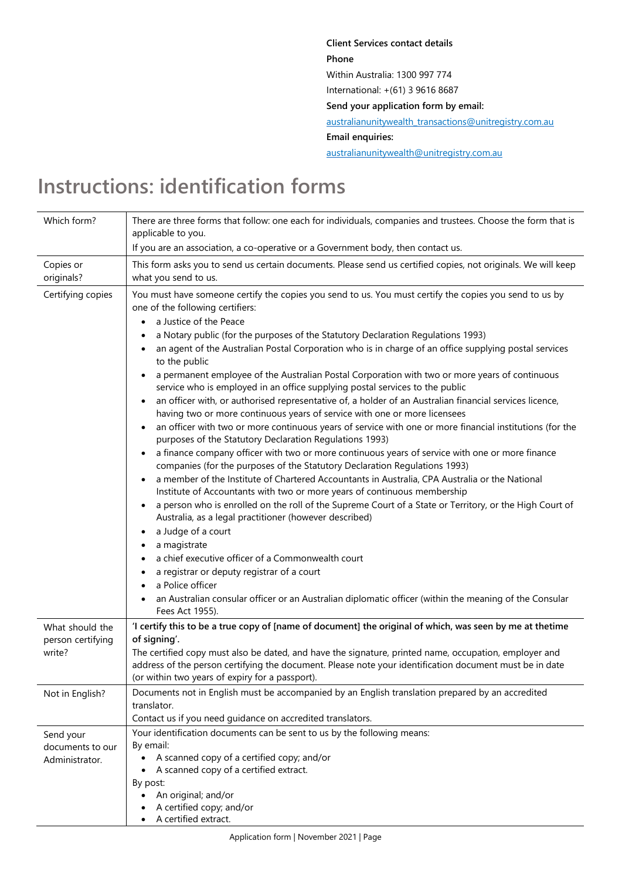**Client Services contact details Phone** Within Australia: 1300 997 774 International: +(61) 3 9616 8687 **Send your application form by email:** [australianunitywealth\\_transactions@unitregistry.com.au](mailto:australianunitywealth_transactions@unitregistry.com.au) **Email enquiries:** [australianunitywealth@unitregistry.com.au](mailto:australianunitywealth@unitregistry.com.au)

# **Instructions: identification forms**

| Which form?                                     | There are three forms that follow: one each for individuals, companies and trustees. Choose the form that is<br>applicable to you.                                                                                                                                                                                                                                                                                                                                                                                                                                                                                                                                                                                                                                                                                                                                                                                                                                                                                                                                                                                                                                                                                                                                                                                                                                                                                                                                                                                                                                                                                                                                                                                                                                                                       |
|-------------------------------------------------|----------------------------------------------------------------------------------------------------------------------------------------------------------------------------------------------------------------------------------------------------------------------------------------------------------------------------------------------------------------------------------------------------------------------------------------------------------------------------------------------------------------------------------------------------------------------------------------------------------------------------------------------------------------------------------------------------------------------------------------------------------------------------------------------------------------------------------------------------------------------------------------------------------------------------------------------------------------------------------------------------------------------------------------------------------------------------------------------------------------------------------------------------------------------------------------------------------------------------------------------------------------------------------------------------------------------------------------------------------------------------------------------------------------------------------------------------------------------------------------------------------------------------------------------------------------------------------------------------------------------------------------------------------------------------------------------------------------------------------------------------------------------------------------------------------|
|                                                 | If you are an association, a co-operative or a Government body, then contact us.                                                                                                                                                                                                                                                                                                                                                                                                                                                                                                                                                                                                                                                                                                                                                                                                                                                                                                                                                                                                                                                                                                                                                                                                                                                                                                                                                                                                                                                                                                                                                                                                                                                                                                                         |
| Copies or<br>originals?                         | This form asks you to send us certain documents. Please send us certified copies, not originals. We will keep<br>what you send to us.                                                                                                                                                                                                                                                                                                                                                                                                                                                                                                                                                                                                                                                                                                                                                                                                                                                                                                                                                                                                                                                                                                                                                                                                                                                                                                                                                                                                                                                                                                                                                                                                                                                                    |
| Certifying copies                               | You must have someone certify the copies you send to us. You must certify the copies you send to us by<br>one of the following certifiers:<br>a Justice of the Peace<br>$\bullet$<br>a Notary public (for the purposes of the Statutory Declaration Regulations 1993)<br>an agent of the Australian Postal Corporation who is in charge of an office supplying postal services<br>to the public<br>a permanent employee of the Australian Postal Corporation with two or more years of continuous<br>service who is employed in an office supplying postal services to the public<br>an officer with, or authorised representative of, a holder of an Australian financial services licence,<br>having two or more continuous years of service with one or more licensees<br>an officer with two or more continuous years of service with one or more financial institutions (for the<br>purposes of the Statutory Declaration Regulations 1993)<br>a finance company officer with two or more continuous years of service with one or more finance<br>$\bullet$<br>companies (for the purposes of the Statutory Declaration Regulations 1993)<br>a member of the Institute of Chartered Accountants in Australia, CPA Australia or the National<br>Institute of Accountants with two or more years of continuous membership<br>a person who is enrolled on the roll of the Supreme Court of a State or Territory, or the High Court of<br>Australia, as a legal practitioner (however described)<br>a Judge of a court<br>$\bullet$<br>a magistrate<br>a chief executive officer of a Commonwealth court<br>a registrar or deputy registrar of a court<br>a Police officer<br>an Australian consular officer or an Australian diplomatic officer (within the meaning of the Consular<br>Fees Act 1955). |
| What should the<br>person certifying<br>write?  | 'I certify this to be a true copy of [name of document] the original of which, was seen by me at thetime<br>of signing'.<br>The certified copy must also be dated, and have the signature, printed name, occupation, employer and<br>address of the person certifying the document. Please note your identification document must be in date<br>(or within two years of expiry for a passport).                                                                                                                                                                                                                                                                                                                                                                                                                                                                                                                                                                                                                                                                                                                                                                                                                                                                                                                                                                                                                                                                                                                                                                                                                                                                                                                                                                                                          |
| Not in English?                                 | Documents not in English must be accompanied by an English translation prepared by an accredited<br>translator.<br>Contact us if you need guidance on accredited translators.                                                                                                                                                                                                                                                                                                                                                                                                                                                                                                                                                                                                                                                                                                                                                                                                                                                                                                                                                                                                                                                                                                                                                                                                                                                                                                                                                                                                                                                                                                                                                                                                                            |
| Send your<br>documents to our<br>Administrator. | Your identification documents can be sent to us by the following means:<br>By email:<br>A scanned copy of a certified copy; and/or<br>A scanned copy of a certified extract.<br>By post:<br>An original; and/or<br>A certified copy; and/or<br>A certified extract.                                                                                                                                                                                                                                                                                                                                                                                                                                                                                                                                                                                                                                                                                                                                                                                                                                                                                                                                                                                                                                                                                                                                                                                                                                                                                                                                                                                                                                                                                                                                      |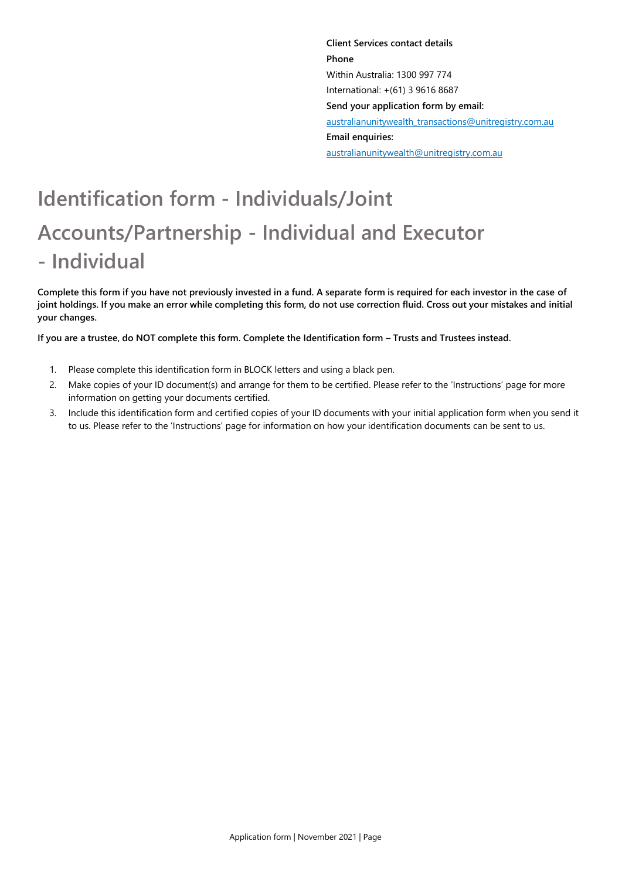**Client Services contact details Phone** Within Australia: 1300 997 774 International: +(61) 3 9616 8687 **Send your application form by email:** [australianunitywealth\\_transactions@unitregistry.com.au](mailto:australianunitywealth_transactions@unitregistry.com.au) **Email enquiries:** [australianunitywealth@unitregistry.com.au](mailto:australianunitywealth@unitregistry.com.au)

# **Identification form - Individuals/Joint Accounts/Partnership - Individual and Executor - Individual**

**Complete this form if you have not previously invested in a fund. A separate form is required for each investor in the case of** joint holdings. If you make an error while completing this form, do not use correction fluid. Cross out your mistakes and initial **your changes.**

If you are a trustee, do NOT complete this form. Complete the Identification form - Trusts and Trustees instead.

- 1. Please complete this identification form in BLOCK letters and using a black pen.
- 2. Make copies of your ID document(s) and arrange for them to be certified. Please refer to the 'Instructions' page for more information on getting your documents certified.
- 3. Include this identification form and certified copies of your ID documents with your initial application form when you send it to us. Please refer to the 'Instructions' page for information on how your identification documents can be sent to us.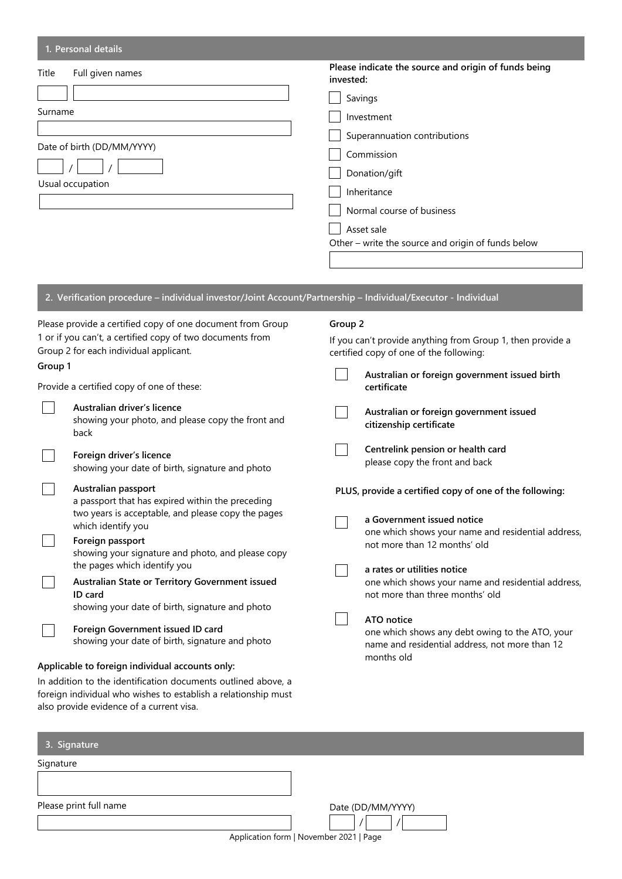# **1. Personal details**

| Title<br>Full given names                      | Please indicate the source and origin of funds being<br>invested: |
|------------------------------------------------|-------------------------------------------------------------------|
|                                                | Savings                                                           |
| Surname                                        | Investment                                                        |
|                                                | Superannuation contributions                                      |
| Date of birth (DD/MM/YYYY)<br>Usual occupation | Commission                                                        |
|                                                | Donation/gift                                                     |
|                                                | Inheritance                                                       |
|                                                | Normal course of business                                         |
|                                                | Asset sale                                                        |
|                                                | Other - write the source and origin of funds below                |
|                                                |                                                                   |

**2. Verification procedure – individual investor/Joint Account/Partnership – Individual/Executor - Individual**

| Please provide a certified copy of one document from Group                                          |                                                                                          | Group 2                                                                                               |  |  |
|-----------------------------------------------------------------------------------------------------|------------------------------------------------------------------------------------------|-------------------------------------------------------------------------------------------------------|--|--|
| 1 or if you can't, a certified copy of two documents from<br>Group 2 for each individual applicant. |                                                                                          | If you can't provide anything from Group 1, then provide a<br>certified copy of one of the following: |  |  |
| Group 1                                                                                             |                                                                                          | Australian or foreign government issued birth                                                         |  |  |
|                                                                                                     | Provide a certified copy of one of these:                                                | certificate                                                                                           |  |  |
|                                                                                                     | Australian driver's licence<br>showing your photo, and please copy the front and<br>back | Australian or foreign government issued<br>citizenship certificate                                    |  |  |
|                                                                                                     | Foreign driver's licence<br>showing your date of birth, signature and photo              | Centrelink pension or health card<br>please copy the front and back                                   |  |  |
|                                                                                                     | Australian passport<br>a passport that has expired within the preceding                  | PLUS, provide a certified copy of one of the following:                                               |  |  |
|                                                                                                     | two years is acceptable, and please copy the pages<br>which identify you                 | a Government issued notice                                                                            |  |  |
|                                                                                                     | Foreign passport<br>showing your signature and photo, and please copy                    | one which shows your name and residential address,<br>not more than 12 months' old                    |  |  |
|                                                                                                     | the pages which identify you                                                             | a rates or utilities notice                                                                           |  |  |
|                                                                                                     | Australian State or Territory Government issued<br>ID card                               | one which shows your name and residential address,<br>not more than three months' old                 |  |  |
|                                                                                                     | showing your date of birth, signature and photo                                          | ATO notice                                                                                            |  |  |
|                                                                                                     | Foreign Government issued ID card<br>showing your date of birth, signature and photo     | one which shows any debt owing to the ATO, your<br>name and residential address, not more than 12     |  |  |
|                                                                                                     | Applicable to foreign individual accounts only:                                          | months old                                                                                            |  |  |

In addition to the identification documents outlined above, a foreign individual who wishes to establish a relationship must also provide evidence of a current visa.

| 3. Signature           |                                         |
|------------------------|-----------------------------------------|
| Signature              |                                         |
|                        |                                         |
| Please print full name | Date (DD/MM/YYYY)                       |
|                        | Application form   November 2021   Page |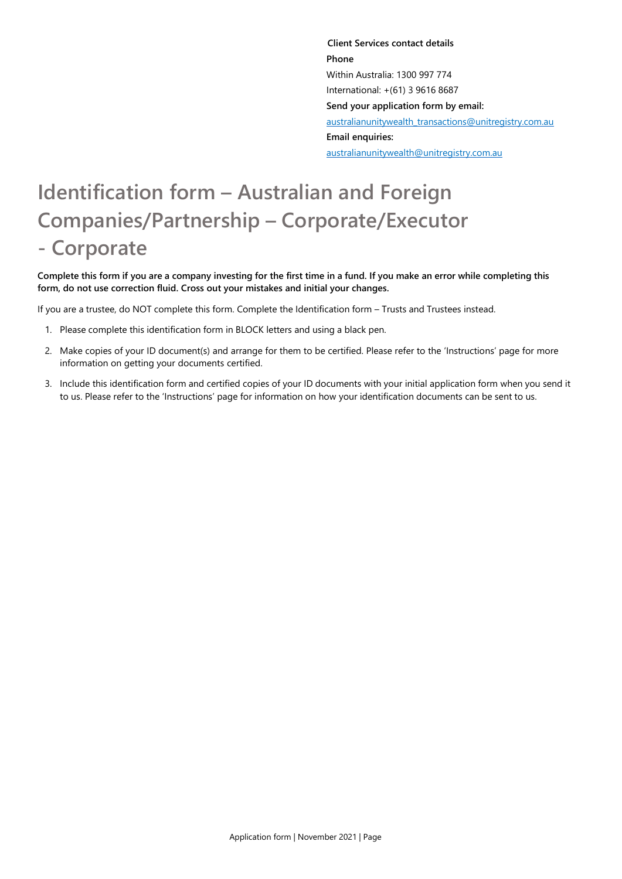**Client Services contact details Phone** Within Australia: 1300 997 774 International: +(61) 3 9616 8687 **Send your application form by email:** [australianunitywealth\\_transactions@unitregistry.com.au](mailto:australianunitywealth_transactions@unitregistry.com.au) **Email enquiries:** [australianunitywealth@unitregistry.com.au](mailto:australianunitywealth@unitregistry.com.au)

# **Identification form – Australian and Foreign Companies/Partnership – Corporate/Executor - Corporate**

Complete this form if you are a company investing for the first time in a fund. If you make an error while completing this **form, do not use correction fluid. Cross out your mistakes and initial your changes.**

If you are a trustee, do NOT complete this form. Complete the Identification form – Trusts and Trustees instead.

- 1. Please complete this identification form in BLOCK letters and using a black pen.
- 2. Make copies of your ID document(s) and arrange for them to be certified. Please refer to the 'Instructions' page for more information on getting your documents certified.
- 3. Include this identification form and certified copies of your ID documents with your initial application form when you send it to us. Please refer to the 'Instructions' page for information on how your identification documents can be sent to us.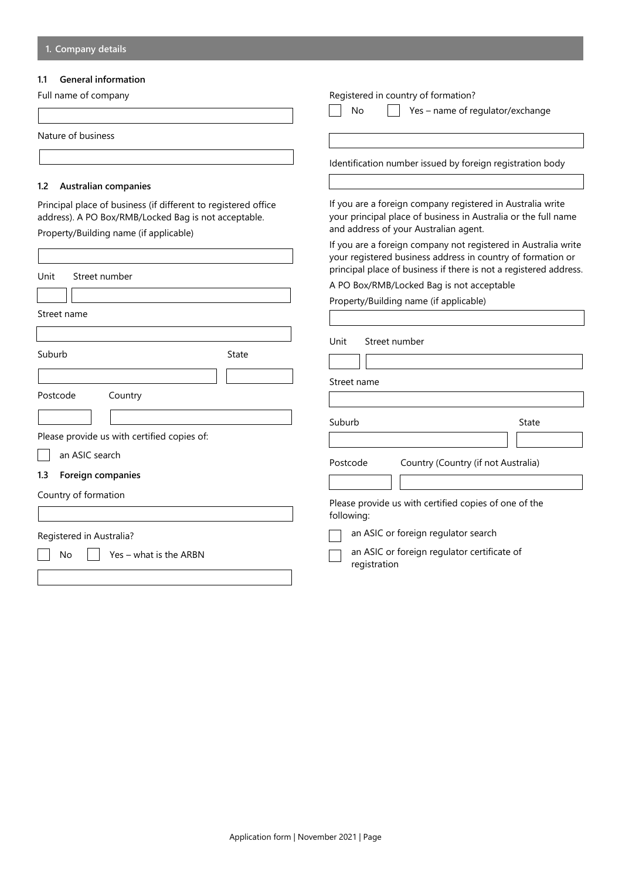# **1.1 General information**

|  |  |  | Full name of company |
|--|--|--|----------------------|
|--|--|--|----------------------|

| Full name of company                                                                                                                                             | Registered in country of formation?                                                                                                                                                                |  |  |
|------------------------------------------------------------------------------------------------------------------------------------------------------------------|----------------------------------------------------------------------------------------------------------------------------------------------------------------------------------------------------|--|--|
|                                                                                                                                                                  | No<br>Yes - name of regulator/exchange                                                                                                                                                             |  |  |
| Nature of business                                                                                                                                               |                                                                                                                                                                                                    |  |  |
|                                                                                                                                                                  | Identification number issued by foreign registration body                                                                                                                                          |  |  |
| <b>Australian companies</b><br>1.2                                                                                                                               |                                                                                                                                                                                                    |  |  |
| Principal place of business (if different to registered office<br>address). A PO Box/RMB/Locked Bag is not acceptable.<br>Property/Building name (if applicable) | If you are a foreign company registered in Australia write<br>your principal place of business in Australia or the full name<br>and address of your Australian agent.                              |  |  |
|                                                                                                                                                                  | If you are a foreign company not registered in Australia write<br>your registered business address in country of formation or<br>principal place of business if there is not a registered address. |  |  |
| Unit<br>Street number                                                                                                                                            | A PO Box/RMB/Locked Bag is not acceptable                                                                                                                                                          |  |  |
|                                                                                                                                                                  | Property/Building name (if applicable)                                                                                                                                                             |  |  |
| Street name                                                                                                                                                      |                                                                                                                                                                                                    |  |  |
|                                                                                                                                                                  |                                                                                                                                                                                                    |  |  |
| Suburb<br>State                                                                                                                                                  | Unit<br>Street number                                                                                                                                                                              |  |  |
|                                                                                                                                                                  | Street name                                                                                                                                                                                        |  |  |
| Postcode<br>Country                                                                                                                                              |                                                                                                                                                                                                    |  |  |
|                                                                                                                                                                  | Suburb<br>State                                                                                                                                                                                    |  |  |
| Please provide us with certified copies of:                                                                                                                      |                                                                                                                                                                                                    |  |  |
| an ASIC search                                                                                                                                                   |                                                                                                                                                                                                    |  |  |
| Foreign companies<br>1.3                                                                                                                                         | Country (Country (if not Australia)<br>Postcode                                                                                                                                                    |  |  |
| Country of formation                                                                                                                                             |                                                                                                                                                                                                    |  |  |
|                                                                                                                                                                  | Please provide us with certified copies of one of the<br>following:                                                                                                                                |  |  |
| Registered in Australia?                                                                                                                                         | an ASIC or foreign regulator search                                                                                                                                                                |  |  |
| No<br>Yes – what is the ARBN                                                                                                                                     | an ASIC or foreign regulator certificate of<br>registration                                                                                                                                        |  |  |
|                                                                                                                                                                  |                                                                                                                                                                                                    |  |  |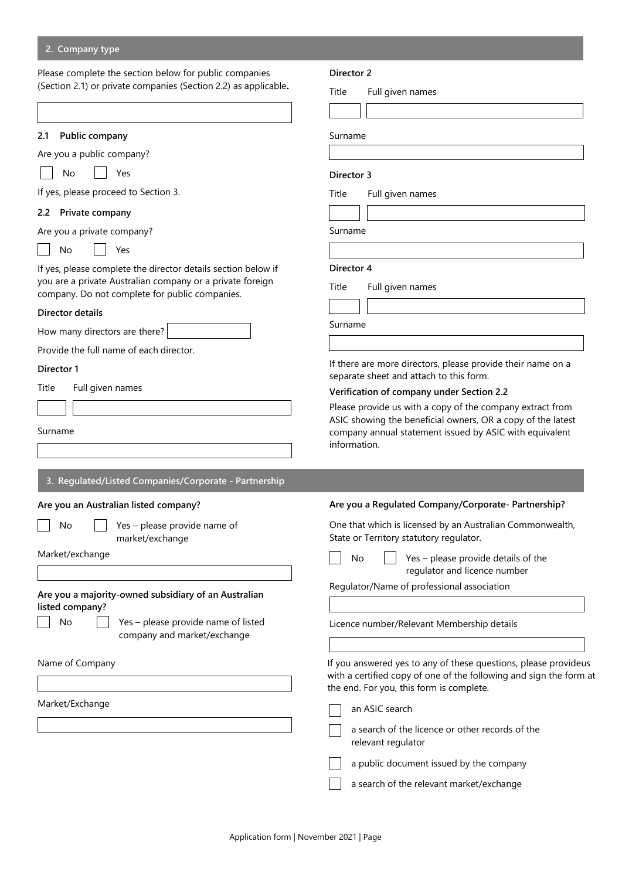#### **2. Company type**

Please complete the section below for public companies (Section 2.1) or private companies (Section 2.2) as applicable**.**

| 2.1 | Public company |  |
|-----|----------------|--|
|     |                |  |

Are you a public company?

|  | No |  |
|--|----|--|
|--|----|--|

If yes, please proceed to Section 3.

Yes

#### **2.2 Private company**

Are you a private company?

No | Yes

If yes, please complete the director details section below if you are a private Australian company or a private foreign company. Do not complete for public companies.

#### **Director details**

How many directors are there?

Provide the full name of each director.

#### **Director 1**

Title Full given names

#### Surname

| 3. Regulated/Listed Companies/Corporate - Partnership |
|-------------------------------------------------------|
|                                                       |

# **Are you an Australian listed company?**

No  $\vert \vert$  Yes – please provide

market/exchange

Market/exchange

**Are you a majority-owned subsidiary of an Australian listed company?**

No  $\Box$  Yes – please provides company and mark

#### Name of Company

Market/Exchange

#### **Director 2**

Title Full given names

Surname

#### **Director 3**

Title Full given names

Surname

# **Director 4**

Title Full given names

Surname

If there are more directors, please provide their name on a separate sheet and attach to this form.

#### **Verification of company under Section 2.2**

Please provide us with a copy of the company extract from ASIC showing the beneficial owners, OR a copy of the latest company annual statement issued by ASIC with equivalent information.

| porate - Partificiality           |                                                                                                                                                                                                                                  |
|-----------------------------------|----------------------------------------------------------------------------------------------------------------------------------------------------------------------------------------------------------------------------------|
|                                   | Are you a Regulated Company/Corporate- Partnership?                                                                                                                                                                              |
| e name of                         | One that which is licensed by an Australian Commonwealth,<br>State or Territory statutory regulator.                                                                                                                             |
|                                   | Yes - please provide details of the<br>No<br>regulator and licence number                                                                                                                                                        |
| of an Australian                  | Regulator/Name of professional association                                                                                                                                                                                       |
| le name of listed<br>et/exchange: | Licence number/Relevant Membership details                                                                                                                                                                                       |
|                                   | If you answered yes to any of these questions, please provideus<br>with a certified copy of one of the following and sign the form at<br>the end. For you, this form is complete.                                                |
|                                   | an ASIC search                                                                                                                                                                                                                   |
|                                   | a search of the licence or other records of the<br>relevant regulator                                                                                                                                                            |
|                                   | $\cdots$ . The contract of the contract of the contract of the contract of the contract of the contract of the contract of the contract of the contract of the contract of the contract of the contract of the contract of the c |

 $\vert \vert$  a public document issued by the company

a search of the relevant market/exchange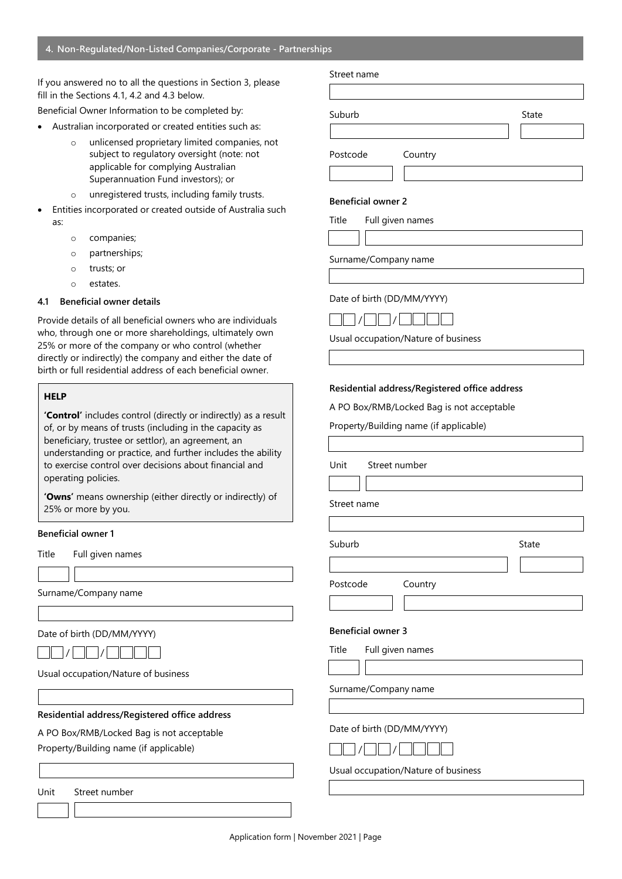#### **4. Non-Regulated/Non-Listed Companies/Corporate - Partnerships**

If you answered no to all the questions in Section 3, please fill in the Sections 4.1, 4.2 and 4.3 below.

Beneficial Owner Information to be completed by:

- Australian incorporated or created entities such as:
	- o unlicensed proprietary limited companies, not subject to regulatory oversight (note: not applicable for complying Australian Superannuation Fund investors); or
	- o unregistered trusts, including family trusts.
- Entities incorporated or created outside of Australia such as:
	- o companies;
	- o partnerships;
	- o trusts; or
	- o estates.

#### **4.1 Beneficial owner details**

Provide details of all beneficial owners who are individuals who, through one or more shareholdings, ultimately own 25% or more of the company or who control (whether directly or indirectly) the company and either the date of birth or full residential address of each beneficial owner.

#### **HELP**

**'Control'** includes control (directly or indirectly) as a result of, or by means of trusts (including in the capacity as beneficiary, trustee or settlor), an agreement, an understanding or practice, and further includes the ability to exercise control over decisions about financial and operating policies.

**'Owns'** means ownership (either directly or indirectly) of 25% or more by you.

#### **Beneficial owner 1**

Title Full given names

Surname/Company name

Date of birth (DD/MM/YYYY)

| _____ | _______ |  |  | ______ | _______ |  |
|-------|---------|--|--|--------|---------|--|
|       |         |  |  |        |         |  |

Usual occupation/Nature of business

#### **Residential address/Registered office address**

A PO Box/RMB/Locked Bag is not acceptable Property/Building name (if applicable)

Unit Street number

# Street name

Suburb State State

Postcode Country

#### **Beneficial owner 2**

Title Full given names

Surname/Company name

#### Date of birth (DD/MM/YYYY)



Usual occupation/Nature of business

#### **Residential address/Registered office address**

A PO Box/RMB/Locked Bag is not acceptable

Property/Building name (if applicable)

Unit Street number

Street name

Suburb **Suburb** State

Postcode Country



#### **Beneficial owner 3**

Title Full given names

Surname/Company name

Date of birth (DD/MM/YYYY)



Usual occupation/Nature of business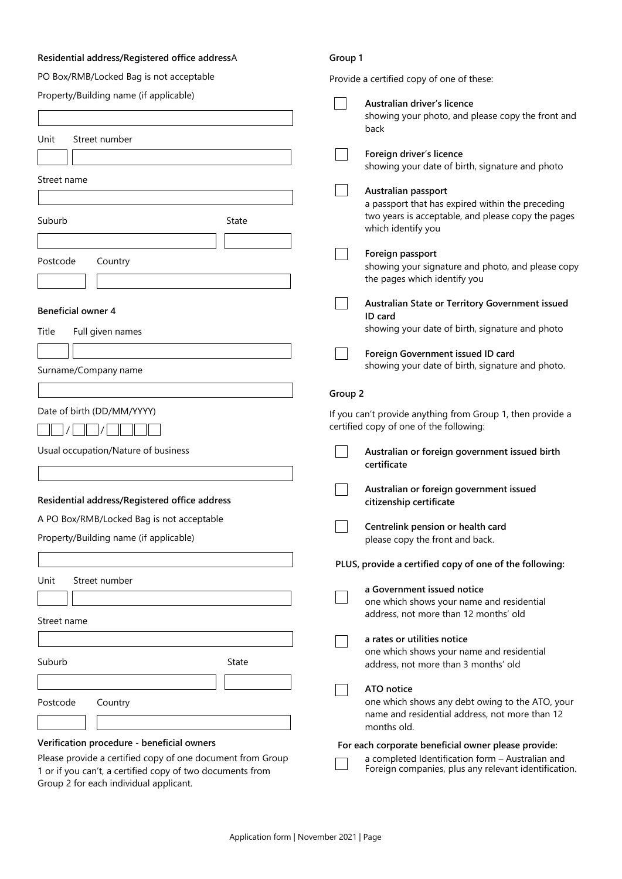# **Residential address/Registered office address**A

# **Group 1**

Provide a certified copy of one of these:

| Property/Building name (if applicable)                                                              | Australian driver's licence                                                                              |
|-----------------------------------------------------------------------------------------------------|----------------------------------------------------------------------------------------------------------|
|                                                                                                     | showing your photo, and please copy the front and                                                        |
| Street number<br>Unit                                                                               | back                                                                                                     |
|                                                                                                     | Foreign driver's licence                                                                                 |
|                                                                                                     | showing your date of birth, signature and photo                                                          |
| Street name                                                                                         | Australian passport                                                                                      |
|                                                                                                     | a passport that has expired within the preceding                                                         |
| Suburb<br>State                                                                                     | two years is acceptable, and please copy the pages<br>which identify you                                 |
|                                                                                                     | Foreign passport                                                                                         |
| Postcode<br>Country                                                                                 | showing your signature and photo, and please copy                                                        |
|                                                                                                     | the pages which identify you                                                                             |
| <b>Beneficial owner 4</b>                                                                           | Australian State or Territory Government issued<br>ID card                                               |
| Full given names<br>Title                                                                           | showing your date of birth, signature and photo                                                          |
|                                                                                                     | Foreign Government issued ID card                                                                        |
| Surname/Company name                                                                                | showing your date of birth, signature and photo.                                                         |
|                                                                                                     | Group 2                                                                                                  |
| Date of birth (DD/MM/YYYY)                                                                          |                                                                                                          |
|                                                                                                     | If you can't provide anything from Group 1, then provide a<br>certified copy of one of the following:    |
| Usual occupation/Nature of business                                                                 | Australian or foreign government issued birth<br>certificate                                             |
| Residential address/Registered office address                                                       | Australian or foreign government issued<br>citizenship certificate                                       |
| A PO Box/RMB/Locked Bag is not acceptable                                                           |                                                                                                          |
| Property/Building name (if applicable)                                                              | Centrelink pension or health card<br>please copy the front and back.                                     |
|                                                                                                     |                                                                                                          |
|                                                                                                     | PLUS, provide a certified copy of one of the following:                                                  |
| Street number<br>Unit                                                                               | a Government issued notice                                                                               |
|                                                                                                     | one which shows your name and residential<br>address, not more than 12 months' old                       |
| Street name                                                                                         |                                                                                                          |
|                                                                                                     | a rates or utilities notice                                                                              |
| Suburb<br><b>State</b>                                                                              | one which shows your name and residential<br>address, not more than 3 months' old                        |
|                                                                                                     | ATO notice                                                                                               |
| Postcode<br>Country                                                                                 | one which shows any debt owing to the ATO, your<br>name and residential address, not more than 12        |
|                                                                                                     | months old.                                                                                              |
| Verification procedure - beneficial owners                                                          | For each corporate beneficial owner please provide:                                                      |
| Please provide a certified copy of one document from Group                                          | a completed Identification form - Australian and<br>Foreign companies, plus any relevant identification. |
| 1 or if you can't, a certified copy of two documents from<br>Group 2 for each individual applicant. |                                                                                                          |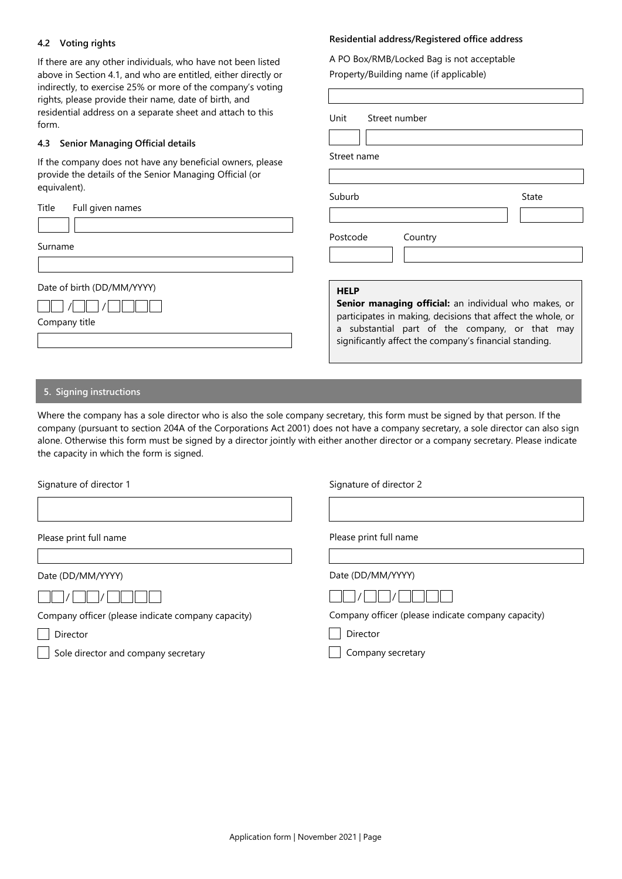# **4.2 Voting rights**

If there are any other individuals, who have not been listed above in Section 4.1, and who are entitled, either directly or indirectly, to exercise 25% or more of the company's voting rights, please provide their name, date of birth, and residential address on a separate sheet and attach to this form.

## **4.3 Senior Managing Official details**

If the company does not have any beneficial owners, please provide the details of the Senior Managing Official (or equivalent).

| Title<br>Full given names                   |                                                                                                                                                                                                                                                 |
|---------------------------------------------|-------------------------------------------------------------------------------------------------------------------------------------------------------------------------------------------------------------------------------------------------|
| Surname                                     | Postcode<br>Country                                                                                                                                                                                                                             |
| Date of birth (DD/MM/YYYY)<br>Company title | <b>HELP</b><br>Senior managing official: an individual who makes, or<br>participates in making, decisions that affect the whole, or<br>a substantial part of the company, or that may<br>significantly affect the company's financial standing. |

# **5. Signing instructions**

Where the company has a sole director who is also the sole company secretary, this form must be signed by that person. If the company (pursuant to section 204A of the Corporations Act 2001) does not have a company secretary, a sole director can also sign alone. Otherwise this form must be signed by a director jointly with either another director or a company secretary. Please indicate the capacity in which the form is signed.

| Signature of director 1                            | Signature of director 2                            |  |  |
|----------------------------------------------------|----------------------------------------------------|--|--|
|                                                    |                                                    |  |  |
| Please print full name                             | Please print full name                             |  |  |
|                                                    |                                                    |  |  |
| Date (DD/MM/YYYY)                                  | Date (DD/MM/YYYY)                                  |  |  |
|                                                    |                                                    |  |  |
| Company officer (please indicate company capacity) | Company officer (please indicate company capacity) |  |  |
| Director                                           | Director                                           |  |  |
| Sole director and company secretary                | Company secretary                                  |  |  |
|                                                    |                                                    |  |  |

# **Residential address/Registered office address**

A PO Box/RMB/Locked Bag is not acceptable Property/Building name (if applicable)

Suburb **Suburb** State

Unit Street number

Street name

| Application form   November 2021   Page |  |
|-----------------------------------------|--|
|                                         |  |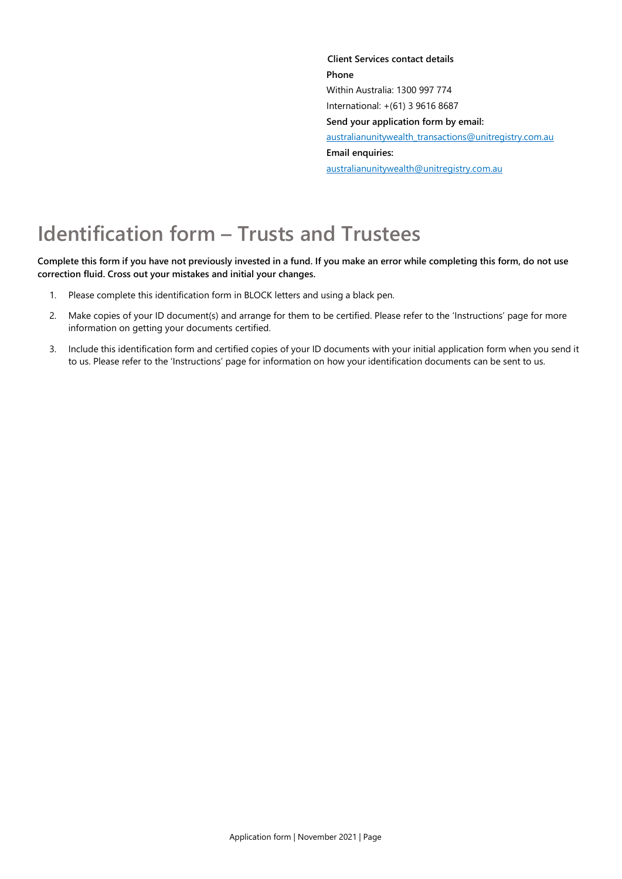**Client Services contact details Phone** Within Australia: 1300 997 774 International: +(61) 3 9616 8687 **Send your application form by email:** [australianunitywealth\\_transactions@unitregistry.com.au](mailto:australianunitywealth_transactions@unitregistry.com.au) **Email enquiries:** [australianunitywealth@unitregistry.com.au](mailto:australianunitywealth@unitregistry.com.au)

# **Identification form – Trusts and Trustees**

Complete this form if you have not previously invested in a fund. If you make an error while completing this form, do not use **correction fluid. Cross out your mistakes and initial your changes.**

- 1. Please complete this identification form in BLOCK letters and using a black pen.
- 2. Make copies of your ID document(s) and arrange for them to be certified. Please refer to the 'Instructions' page for more information on getting your documents certified.
- 3. Include this identification form and certified copies of your ID documents with your initial application form when you send it to us. Please refer to the 'Instructions' page for information on how your identification documents can be sent to us.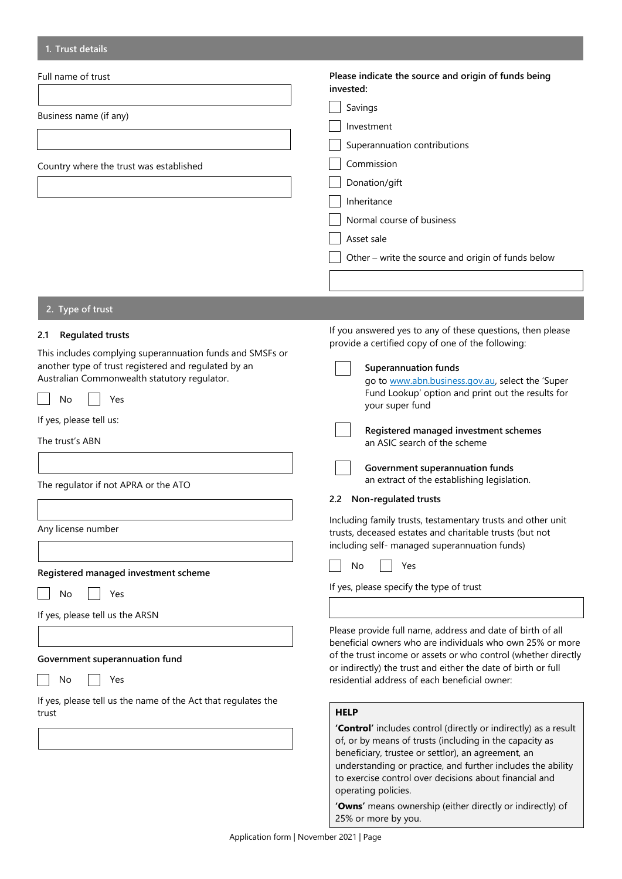| 1. Trust details                                                                                                                                                                                                                                                                                                             |                                                                                                                                                                                                                                                                                                                                                                                                                                                                                                                                                                                                                                                 |
|------------------------------------------------------------------------------------------------------------------------------------------------------------------------------------------------------------------------------------------------------------------------------------------------------------------------------|-------------------------------------------------------------------------------------------------------------------------------------------------------------------------------------------------------------------------------------------------------------------------------------------------------------------------------------------------------------------------------------------------------------------------------------------------------------------------------------------------------------------------------------------------------------------------------------------------------------------------------------------------|
| Full name of trust<br>Business name (if any)<br>Country where the trust was established                                                                                                                                                                                                                                      | Please indicate the source and origin of funds being<br>invested:<br>Savings<br>Investment<br>Superannuation contributions<br>Commission<br>Donation/gift<br>Inheritance<br>Normal course of business<br>Asset sale<br>Other - write the source and origin of funds below                                                                                                                                                                                                                                                                                                                                                                       |
|                                                                                                                                                                                                                                                                                                                              |                                                                                                                                                                                                                                                                                                                                                                                                                                                                                                                                                                                                                                                 |
| 2. Type of trust                                                                                                                                                                                                                                                                                                             |                                                                                                                                                                                                                                                                                                                                                                                                                                                                                                                                                                                                                                                 |
| <b>Regulated trusts</b><br>2.1<br>This includes complying superannuation funds and SMSFs or<br>another type of trust registered and regulated by an<br>Australian Commonwealth statutory regulator.<br>No<br>Yes<br>If yes, please tell us:<br>The trust's ABN<br>The regulator if not APRA or the ATO<br>Any license number | If you answered yes to any of these questions, then please<br>provide a certified copy of one of the following:<br><b>Superannuation funds</b><br>go to www.abn.business.gov.au, select the 'Super<br>Fund Lookup' option and print out the results for<br>your super fund<br>Registered managed investment schemes<br>an ASIC search of the scheme<br>Government superannuation funds<br>an extract of the establishing legislation.<br>Non-regulated trusts<br>2.2<br>Including family trusts, testamentary trusts and other unit<br>trusts, deceased estates and charitable trusts (but not<br>including self- managed superannuation funds) |
| Registered managed investment scheme                                                                                                                                                                                                                                                                                         | Yes<br>No                                                                                                                                                                                                                                                                                                                                                                                                                                                                                                                                                                                                                                       |
| No<br>Yes<br>If yes, please tell us the ARSN<br>Government superannuation fund<br>Yes<br>No                                                                                                                                                                                                                                  | If yes, please specify the type of trust<br>Please provide full name, address and date of birth of all<br>beneficial owners who are individuals who own 25% or more<br>of the trust income or assets or who control (whether directly<br>or indirectly) the trust and either the date of birth or full<br>residential address of each beneficial owner:                                                                                                                                                                                                                                                                                         |
| If yes, please tell us the name of the Act that regulates the<br>trust                                                                                                                                                                                                                                                       | <b>HELP</b>                                                                                                                                                                                                                                                                                                                                                                                                                                                                                                                                                                                                                                     |
|                                                                                                                                                                                                                                                                                                                              | 'Control' includes control (directly or indirectly) as a result<br>of, or by means of trusts (including in the capacity as<br>beneficiary, trustee or settlor), an agreement, an<br>understanding or practice, and further includes the ability<br>to exercise control over decisions about financial and<br>operating policies.                                                                                                                                                                                                                                                                                                                |

**'Owns'** means ownership (either directly or indirectly) of 25% or more by you.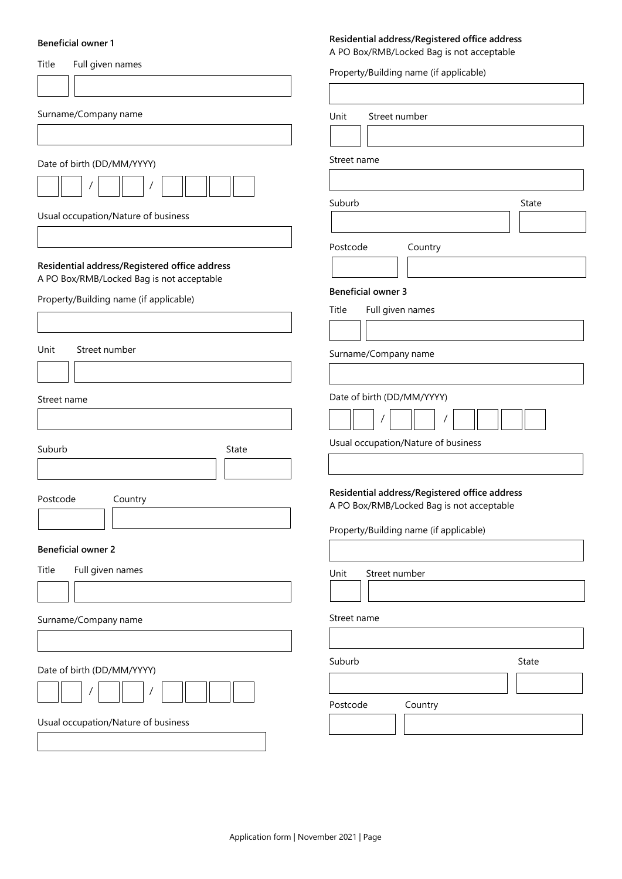#### **Beneficial owner 1**

# Title Full given names Surname/Company name Date of birth (DD/MM/YYYY) / / Usual occupation/Nature of business **Residential address/Registered office address** A PO Box/RMB/Locked Bag is not acceptable Property/Building name (if applicable) Unit Street number Street name Suburb State State Postcode Country **Beneficial owner 2** Title Full given names Surname/Company name Date of birth (DD/MM/YYYY) / / Usual occupation/Nature of business A PO Box/RMB/Locked Bag is not acceptable Property/Building name (if applicable) Unit Street number Street name Suburb State State Postcode Country **Beneficial owner 3** Title Full given names Surname/Company name Date of birth (DD/MM/YYYY) / / Usual occupation/Nature of business **Residential address/Registered office address** A PO Box/RMB/Locked Bag is not acceptable Property/Building name (if applicable) Unit Street number Street name Suburb State Suburb State Postcode Country

**Residential address/Registered office address**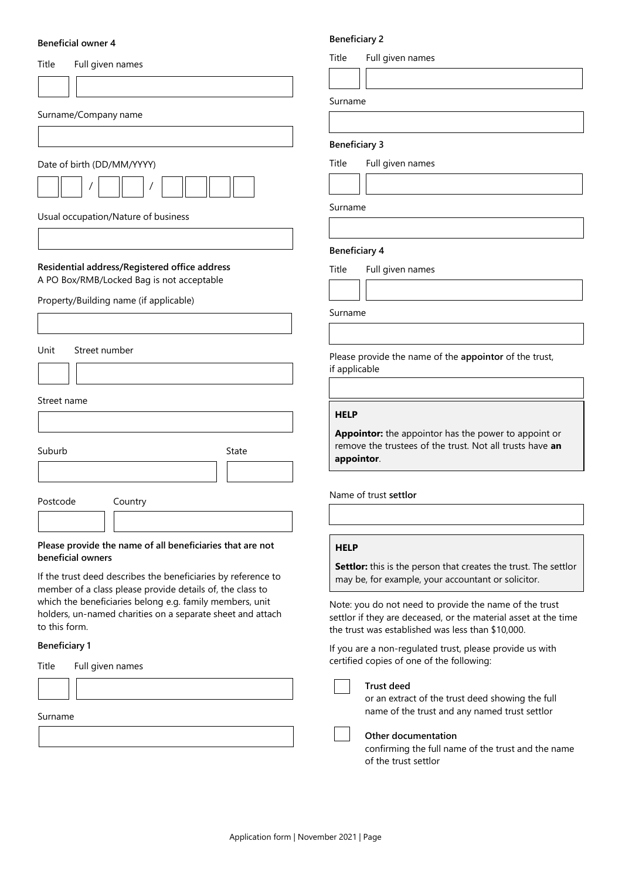#### **Beneficial owner 4**

| Title<br>Full given names                                                                                                                                                                                                                                             |
|-----------------------------------------------------------------------------------------------------------------------------------------------------------------------------------------------------------------------------------------------------------------------|
|                                                                                                                                                                                                                                                                       |
| Surname/Company name                                                                                                                                                                                                                                                  |
|                                                                                                                                                                                                                                                                       |
| Date of birth (DD/MM/YYYY)                                                                                                                                                                                                                                            |
|                                                                                                                                                                                                                                                                       |
| Usual occupation/Nature of business                                                                                                                                                                                                                                   |
|                                                                                                                                                                                                                                                                       |
| Residential address/Registered office address<br>A PO Box/RMB/Locked Bag is not acceptable                                                                                                                                                                            |
| Property/Building name (if applicable)                                                                                                                                                                                                                                |
|                                                                                                                                                                                                                                                                       |
| Unit<br>Street number                                                                                                                                                                                                                                                 |
|                                                                                                                                                                                                                                                                       |
| Street name                                                                                                                                                                                                                                                           |
|                                                                                                                                                                                                                                                                       |
| Suburb<br>State                                                                                                                                                                                                                                                       |
|                                                                                                                                                                                                                                                                       |
| Postcode<br>Country                                                                                                                                                                                                                                                   |
|                                                                                                                                                                                                                                                                       |
| Please provide the name of all beneficiaries that are not<br>beneficial owners                                                                                                                                                                                        |
| If the trust deed describes the beneficiaries by reference to<br>member of a class please provide details of, the class to<br>which the beneficiaries belong e.g. family members, unit<br>holders, un-named charities on a separate sheet and attach<br>to this form. |
| <b>Beneficiary 1</b>                                                                                                                                                                                                                                                  |
| Title<br>Full given names                                                                                                                                                                                                                                             |
|                                                                                                                                                                                                                                                                       |
| Surname                                                                                                                                                                                                                                                               |

# **Beneficiary 2**

Title Full given names

Surname

#### **Beneficiary 3**

Title Full given names

Surname

#### **Beneficiary 4**

Title Full given names

Surname

Please provide the name of the **appointor** of the trust, if applicable

#### **HELP**

**Appointor:** the appointor has the power to appoint or remove the trustees of the trust. Not all trusts have **an appointor**.

Name of trust **settlor**

# **HELP**

**Settlor:** this is the person that creates the trust. The settlor may be, for example, your accountant or solicitor.

Note: you do not need to provide the name of the trust settlor if they are deceased, or the material asset at the time the trust was established was less than \$10,000.

If you are a non-regulated trust, please provide us with certified copies of one of the following:

#### **Trust deed**

or an extract of the trust deed showing the full name of the trust and any named trust settlor

**Other documentation**

confirming the full name of the trust and the name of the trust settlor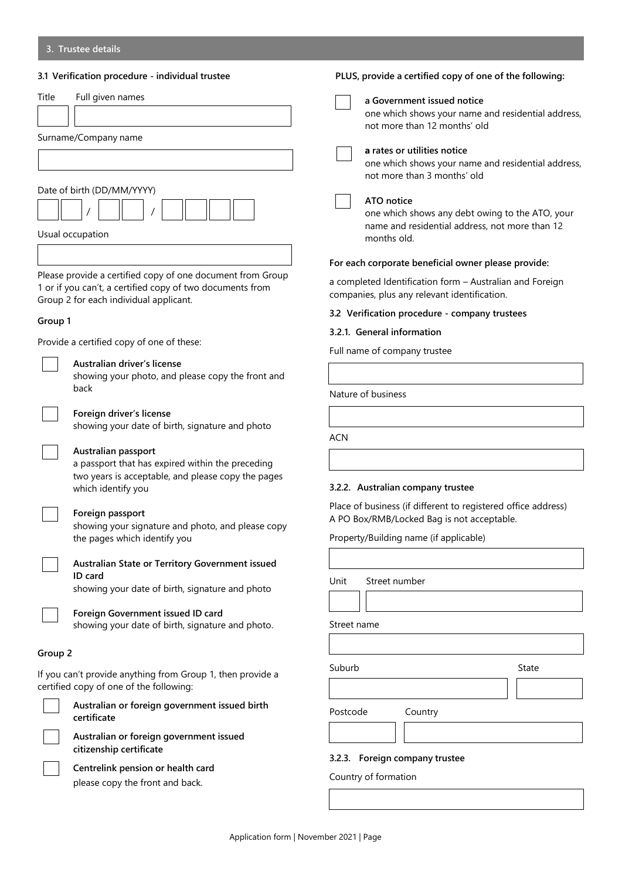# **3.1 Verification procedure - individual trustee**

|         | 3.1 Verification procedure - individual trustee                                                                                                                   | PLUS, provide a certified copy of one of the following:                                                                                               |  |
|---------|-------------------------------------------------------------------------------------------------------------------------------------------------------------------|-------------------------------------------------------------------------------------------------------------------------------------------------------|--|
| Title   | Full given names                                                                                                                                                  | a Government issued notice<br>one which shows your name and residential address,                                                                      |  |
|         | Surname/Company name                                                                                                                                              | not more than 12 months' old<br>a rates or utilities notice<br>one which shows your name and residential address,<br>not more than 3 months' old      |  |
|         | Date of birth (DD/MM/YYYY)<br>Usual occupation                                                                                                                    | ATO notice<br>one which shows any debt owing to the ATO, your<br>name and residential address, not more than 12<br>months old.                        |  |
|         |                                                                                                                                                                   | For each corporate beneficial owner please provide:                                                                                                   |  |
|         | Please provide a certified copy of one document from Group<br>1 or if you can't, a certified copy of two documents from<br>Group 2 for each individual applicant. | a completed Identification form - Australian and Foreign<br>companies, plus any relevant identification.                                              |  |
| Group 1 |                                                                                                                                                                   | 3.2 Verification procedure - company trustees                                                                                                         |  |
|         |                                                                                                                                                                   | 3.2.1. General information                                                                                                                            |  |
|         | Provide a certified copy of one of these:                                                                                                                         | Full name of company trustee                                                                                                                          |  |
|         | Australian driver's license<br>showing your photo, and please copy the front and<br>back                                                                          |                                                                                                                                                       |  |
|         |                                                                                                                                                                   | Nature of business                                                                                                                                    |  |
|         | Foreign driver's license<br>showing your date of birth, signature and photo                                                                                       |                                                                                                                                                       |  |
|         | Australian passport<br>a passport that has expired within the preceding<br>two years is acceptable, and please copy the pages<br>which identify you               | <b>ACN</b><br>3.2.2. Australian company trustee                                                                                                       |  |
|         | Foreign passport<br>showing your signature and photo, and please copy<br>the pages which identify you                                                             | Place of business (if different to registered office address)<br>A PO Box/RMB/Locked Bag is not acceptable.<br>Property/Building name (if applicable) |  |
|         | Australian State or Territory Government issued                                                                                                                   |                                                                                                                                                       |  |
|         | ID card<br>showing your date of birth, signature and photo                                                                                                        | Unit<br>Street number                                                                                                                                 |  |
|         | Foreign Government issued ID card<br>showing your date of birth, signature and photo.                                                                             | Street name                                                                                                                                           |  |
| Group 2 |                                                                                                                                                                   |                                                                                                                                                       |  |
|         | If you can't provide anything from Group 1, then provide a<br>certified copy of one of the following:                                                             | Suburb<br>State                                                                                                                                       |  |
|         | Australian or foreign government issued birth<br>certificate                                                                                                      | Postcode<br>Country                                                                                                                                   |  |
|         | Australian or foreign government issued                                                                                                                           |                                                                                                                                                       |  |
|         | citizenship certificate<br>Centrelink pension or health card                                                                                                      | 3.2.3. Foreign company trustee<br>Country of formation                                                                                                |  |
|         | please copy the front and back.                                                                                                                                   |                                                                                                                                                       |  |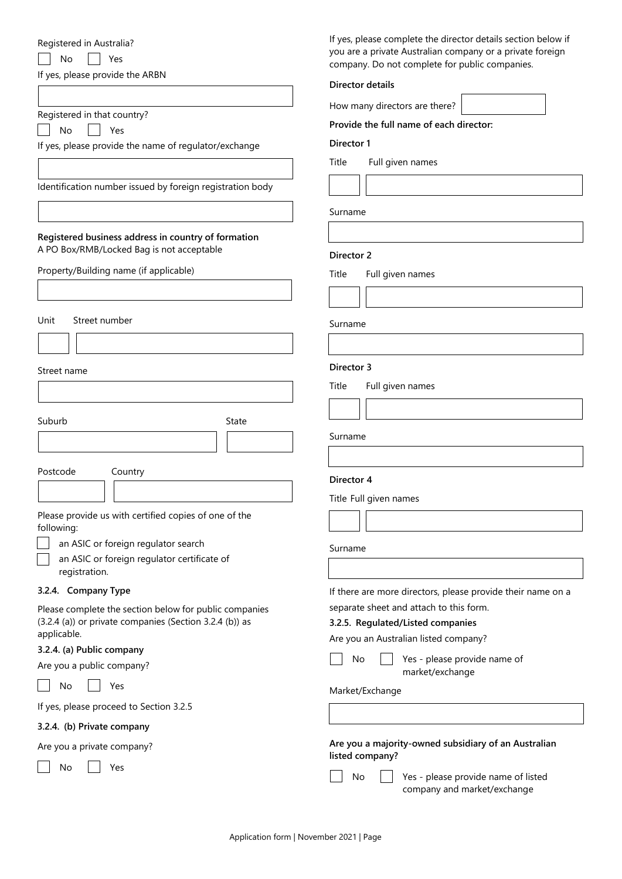#### Registered in Australia?

No | Yes

If yes, please provide the ARBN

| Registered in that country? |  |  |
|-----------------------------|--|--|
|                             |  |  |

No | Yes

If yes, please provide the name of regulator/exchange

Identification number issued by foreign registration body

# **Registered business address in country of formation** A PO Box/RMB/Locked Bag is not acceptable

Property/Building name (if applicable)

Unit Street number

Street name

Suburb State State

Postcode Country

Please provide us with certified copies of one of the following:

an ASIC or foreign regulator search

an ASIC or foreign regulator certificate of registration.

# **3.2.4. Company Type**

Please complete the section below for public companies (3.2.4 (a)) or private companies (Section 3.2.4 (b)) as applicable.

# **3.2.4. (a) Public company**

Are you a public company?

No Yes

If yes, please proceed to Section 3.2.5

# **3.2.4. (b) Private company**

Are you a private company?

No | | Yes

If yes, please complete the director details section below if you are a private Australian company or a private foreign company. Do not complete for public companies.

## **Director details**

How many directors are there?

**Provide the full name of each director:**

**Director 1**

Title Full given names

Surname

# **Director 2**

Title Full given names

Surname

# **Director 3**

Title Full given names

Surname

#### **Director 4**

Title Full given names

Surname

If there are more directors, please provide their name on a separate sheet and attach to this form.

### **3.2.5. Regulated/Listed companies**

Are you an Australian listed company?

 $\overline{N}$  | Yes - please provide name of market/exchange

# Market/Exchange

**Are you a majority-owned subsidiary of an Australian listed company?**

No  $\Box$  Yes - please provide name of listed company and market/exchange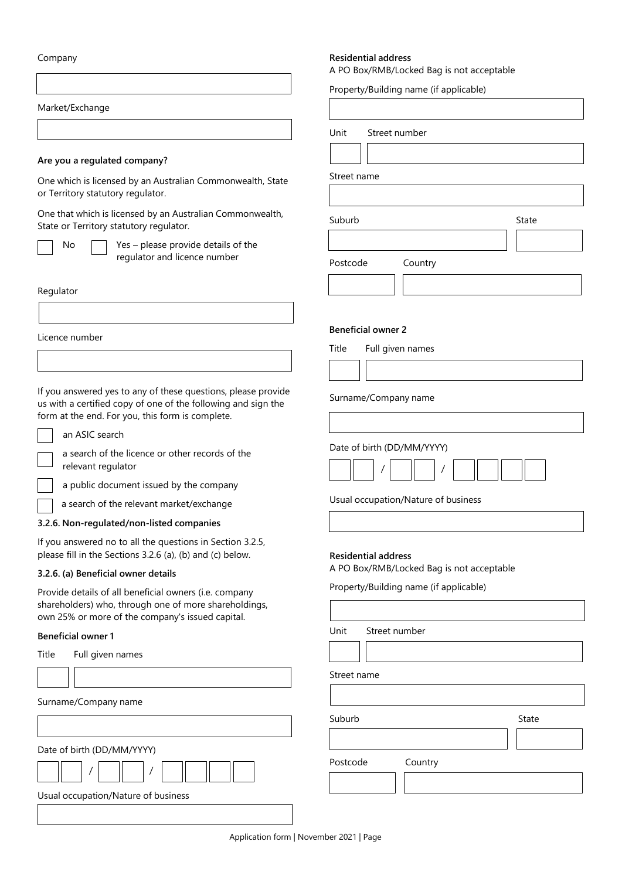Company

Market/Exchange

#### **Are you a regulated company?**

One which is licensed by an Australian Commonwealth, State or Territory statutory regulator.

One that which is licensed by an Australian Commonwealth, State or Territory statutory regulator.

No  $\Box$  Yes – please provide details of the regulator and licence number

Regulator

Licence number

If you answered yes to any of these questions, please provide us with a certified copy of one of the following and sign the form at the end. For you, this form is complete.

n ASIC search

a search of the licence or other records of the relevant regulator

a public document issued by the company

a search of the relevant market/exchange

### **3.2.6. Non-regulated/non-listed companies**

If you answered no to all the questions in Section 3.2.5, please fill in the Sections 3.2.6 (a), (b) and (c) below.

#### **3.2.6. (a) Beneficial owner details**

Provide details of all beneficial owners (i.e. company shareholders) who, through one of more shareholdings, own 25% or more of the company's issued capital.

# **Beneficial owner 1**

| Title | Full given names                    |  |
|-------|-------------------------------------|--|
|       |                                     |  |
|       | Surname/Company name                |  |
|       |                                     |  |
|       | Date of birth (DD/MM/YYYY)          |  |
|       |                                     |  |
|       | Usual occupation/Nature of business |  |
|       |                                     |  |

#### **Residential address**

A PO Box/RMB/Locked Bag is not acceptable

Property/Building name (if applicable)

Unit Street number Street name Suburb Postcode Country State **Beneficial owner 2** Title Full given names

Surname/Company name

Date of birth (DD/MM/YYYY)



Usual occupation/Nature of business

#### **Residential address**

A PO Box/RMB/Locked Bag is not acceptable

Property/Building name (if applicable)

Unit Street number

Street name

Suburb **Suburb** State

Postcode Country

Application form | November 2021 | Page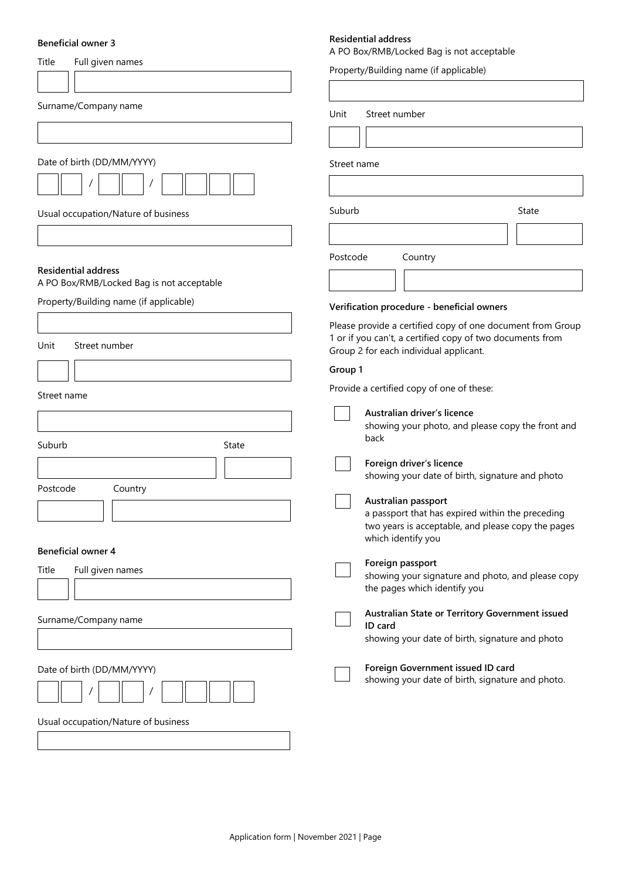#### **Beneficial owner 3**

| Title                                                                   | A PO Box/RMB/Locked Bag is not acceptable                                                                               |
|-------------------------------------------------------------------------|-------------------------------------------------------------------------------------------------------------------------|
| Full given names                                                        | Property/Building name (if applicable)                                                                                  |
|                                                                         |                                                                                                                         |
| Surname/Company name                                                    | Unit<br>Street number                                                                                                   |
|                                                                         |                                                                                                                         |
|                                                                         |                                                                                                                         |
| Date of birth (DD/MM/YYYY)                                              | Street name                                                                                                             |
|                                                                         |                                                                                                                         |
| Usual occupation/Nature of business                                     | Suburb<br>State                                                                                                         |
|                                                                         |                                                                                                                         |
|                                                                         | Postcode<br>Country                                                                                                     |
| <b>Residential address</b><br>A PO Box/RMB/Locked Bag is not acceptable |                                                                                                                         |
| Property/Building name (if applicable)                                  |                                                                                                                         |
|                                                                         | Verification procedure - beneficial owners                                                                              |
| Unit<br>Street number                                                   | Please provide a certified copy of one document from Group<br>1 or if you can't, a certified copy of two documents from |
|                                                                         | Group 2 for each individual applicant.                                                                                  |
|                                                                         | Group 1                                                                                                                 |
| Street name                                                             | Provide a certified copy of one of these:                                                                               |
|                                                                         | Australian driver's licence                                                                                             |
|                                                                         | showing your photo, and please copy the front and<br>back                                                               |
| Suburb<br>State                                                         |                                                                                                                         |
|                                                                         | Foreign driver's licence<br>showing your date of birth, signature and photo                                             |
| Postcode<br>Country                                                     | Australian passport                                                                                                     |
|                                                                         | a passport that has expired within the preceding                                                                        |
|                                                                         | two years is acceptable, and please copy the pages<br>which identify you                                                |
| <b>Beneficial owner 4</b>                                               |                                                                                                                         |
| Title<br>Full given names                                               | Foreign passport<br>showing your signature and photo, and please copy                                                   |
|                                                                         | the pages which identify you                                                                                            |
|                                                                         | Australian State or Territory Government issued                                                                         |
| Surname/Company name                                                    | ID card                                                                                                                 |
|                                                                         | showing your date of birth, signature and photo                                                                         |
| Date of birth (DD/MM/YYYY)                                              | Foreign Government issued ID card                                                                                       |
|                                                                         | showing your date of birth, signature and photo.                                                                        |
|                                                                         |                                                                                                                         |
| Usual occupation/Nature of business                                     |                                                                                                                         |
|                                                                         |                                                                                                                         |
|                                                                         |                                                                                                                         |

**Residential address**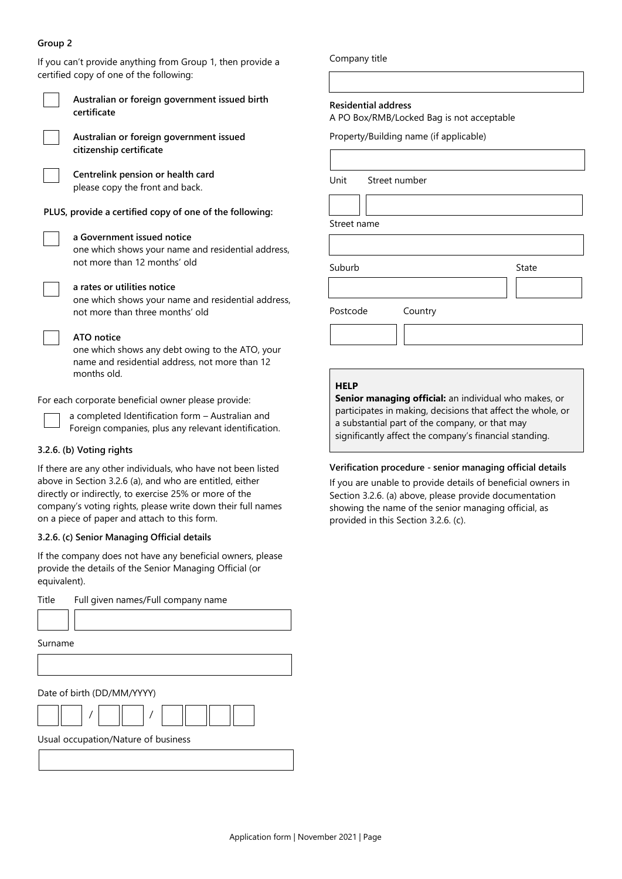# **Group 2**



a completed Identification form – Australian and Foreign companies, plus any relevant identification.

# **3.2.6. (b) Voting rights**

If there are any other individuals, who have not been listed above in Section 3.2.6 (a), and who are entitled, either directly or indirectly, to exercise 25% or more of the company's voting rights, please write down their full names on a piece of paper and attach to this form.

# **3.2.6. (c) Senior Managing Official details**

If the company does not have any beneficial owners, please provide the details of the Senior Managing Official (or equivalent).

Title Full given names/Full company name Surname Date of birth (DD/MM/YYYY) / / Usual occupation/Nature of business

Company title

#### **Residential address**

A PO Box/RMB/Locked Bag is not acceptable

Property/Building name (if applicable)

Unit Street number

Street name

Suburb State State

Postcode Country

#### **HELP**

**Senior managing official:** an individual who makes, or participates in making, decisions that affect the whole, or a substantial part of the company, or that may significantly affect the company's financial standing.

#### **Verification procedure - senior managing official details**

If you are unable to provide details of beneficial owners in Section 3.2.6. (a) above, please provide documentation showing the name of the senior managing official, as provided in this Section 3.2.6. (c).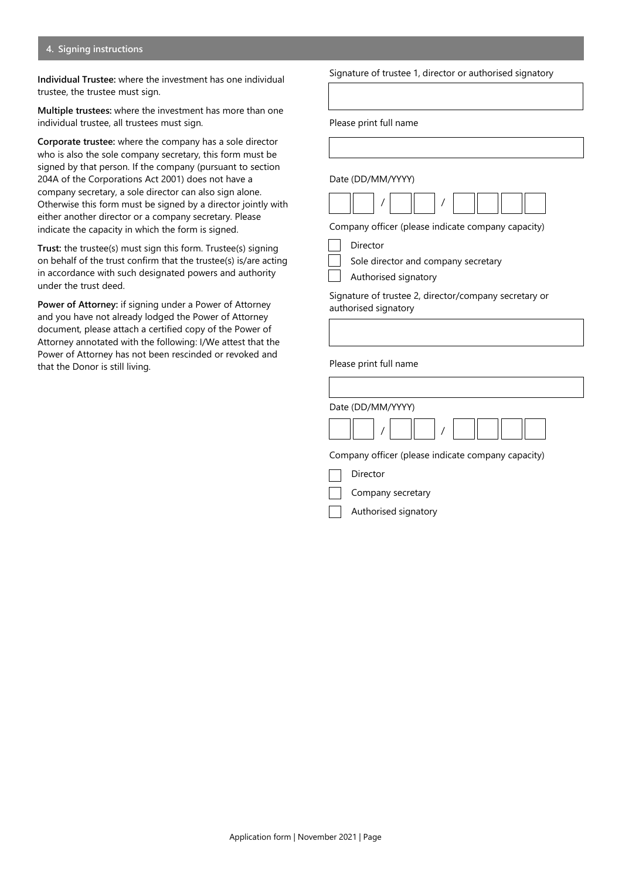#### **4. Signing instructions**

**Individual Trustee:** where the investment has one individual trustee, the trustee must sign.

**Multiple trustees:** where the investment has more than one individual trustee, all trustees must sign.

**Corporate trustee:** where the company has a sole director who is also the sole company secretary, this form must be signed by that person. If the company (pursuant to section 204A of the Corporations Act 2001) does not have a company secretary, a sole director can also sign alone. Otherwise this form must be signed by a director jointly with either another director or a company secretary. Please indicate the capacity in which the form is signed.

**Trust:** the trustee(s) must sign this form. Trustee(s) signing on behalf of the trust confirm that the trustee(s) is/are acting in accordance with such designated powers and authority under the trust deed.

**Power of Attorney:** if signing under a Power of Attorney and you have not already lodged the Power of Attorney document, please attach a certified copy of the Power of Attorney annotated with the following: I/We attest that the Power of Attorney has not been rescinded or revoked and that the Donor is still living.

Signature of trustee 1, director or authorised signatory

Please print full name

Date (DD/MM/YYYY)



Company officer (please indicate company capacity)

| Director  |
|-----------|
| Sole dire |

le director and company secretary

Authorised signatory

Signature of trustee 2, director/company secretary or authorised signatory

Please print full name

| Date (DD/MM/YYYY)                                  |
|----------------------------------------------------|
|                                                    |
| Company officer (please indicate company capacity) |

Director

Company secretary

Authorised signatory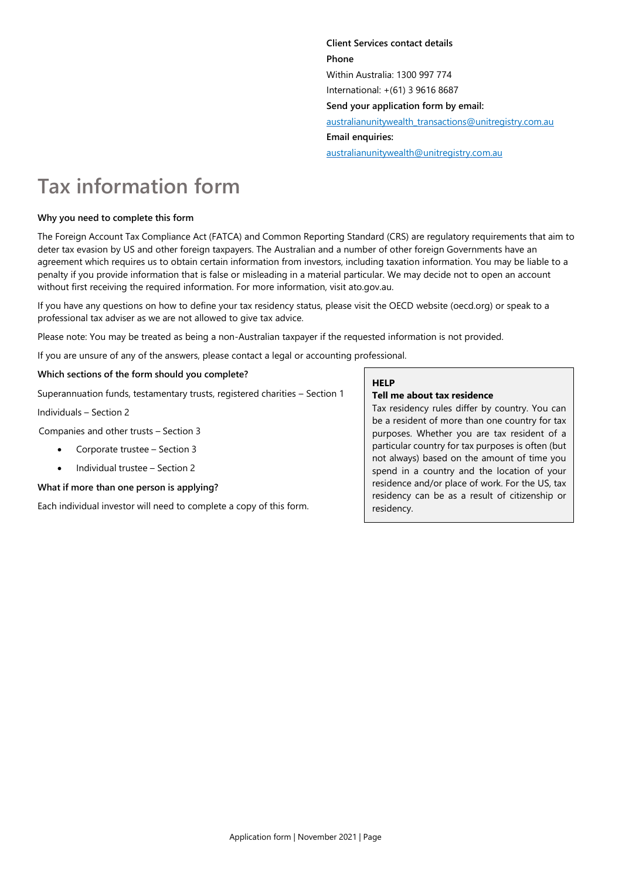**Client Services contact details Phone** Within Australia: 1300 997 774 International: +(61) 3 9616 8687 **Send your application form by email:** [australianunitywealth\\_transactions@unitregistry.com.au](mailto:australianunitywealth_transactions@unitregistry.com.au) **Email enquiries:** [australianunitywealth@unitregistry.com.au](mailto:australianunitywealth@unitregistry.com.au)

# **Tax information form**

# **Why you need to complete this form**

The Foreign Account Tax Compliance Act (FATCA) and Common Reporting Standard (CRS) are regulatory requirements that aim to deter tax evasion by US and other foreign taxpayers. The Australian and a number of other foreign Governments have an agreement which requires us to obtain certain information from investors, including taxation information. You may be liable to a penalty if you provide information that is false or misleading in a material particular. We may decide not to open an account without first receiving the required information. For more information, visit ato.gov.au.

If you have any questions on how to define your tax residency status, please visit the OECD website (oecd.org) or speak to a professional tax adviser as we are not allowed to give tax advice.

Please note: You may be treated as being a non-Australian taxpayer if the requested information is not provided.

If you are unsure of any of the answers, please contact a legal or accounting professional.

# **Which sections of the form should you complete?**

Superannuation funds, testamentary trusts, registered charities – Section 1

Individuals – Section 2

Companies and other trusts – Section 3

- Corporate trustee Section 3
- Individual trustee Section 2

# **What if more than one person is applying?**

Each individual investor will need to complete a copy of this form.

# **HELP**

# **Tell me about tax residence**

Tax residency rules differ by country. You can be a resident of more than one country for tax purposes. Whether you are tax resident of a particular country for tax purposes is often (but not always) based on the amount of time you spend in a country and the location of your residence and/or place of work. For the US, tax residency can be as a result of citizenship or residency.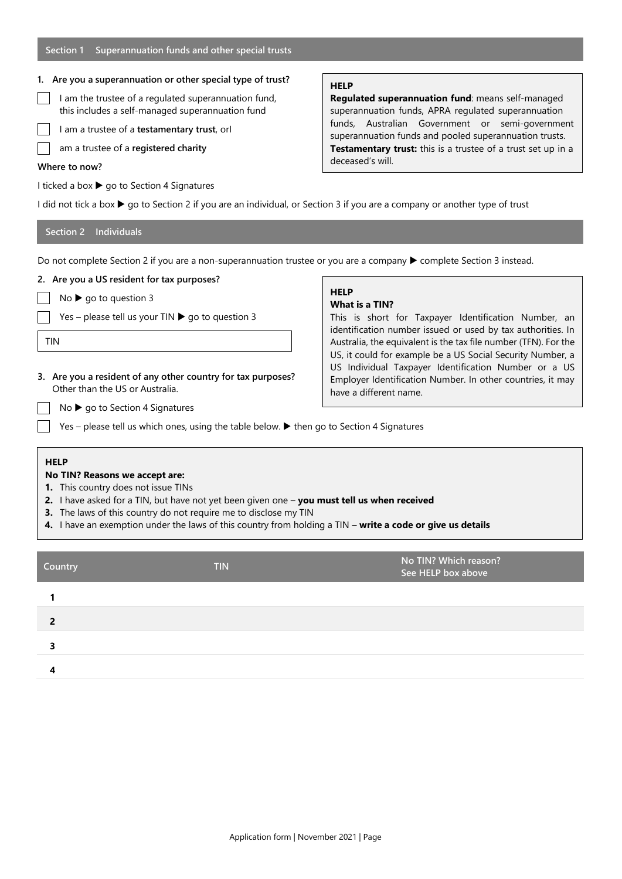# **1. Are you a superannuation or other special type of trust?**

- I am the trustee of a regulated superannuation fund, this includes a self-managed superannuation fund
- I am a trustee of a **testamentary trust**, orI
- am a trustee of a **registered charity**

# **Where to now?**

I ticked a box  $\triangleright$  go to Section 4 Signatures

# **HELP**

**Regulated superannuation fund**: means self-managed superannuation funds, APRA regulated superannuation funds, Australian Government or semi-government superannuation funds and pooled superannuation trusts. **Testamentary trust:** this is a trustee of a trust set up in a deceased's will.

I did not tick a box  $\blacktriangleright$  go to Section 2 if you are an individual, or Section 3 if you are a company or another type of trust

# **Section 2 Individuals**

Do not complete Section 2 if you are a non-superannuation trustee or you are a company ▶ complete Section 3 instead.

# **2. Are you a US resident for tax purposes?**  $No \triangleright qo$  to question 3

Yes – please tell us your TIN  $\triangleright$  go to question 3

**3. Are you a resident of any other country for tax purposes?**

# TIN

#### **HELP What is a TIN?**

This is short for Taxpayer Identification Number, an identification number issued or used by tax authorities. In Australia, the equivalent is the tax file number (TFN). For the US, it could for example be a US Social Security Number, a US Individual Taxpayer Identification Number or a US Employer Identification Number. In other countries, it may have a different name.

 $No$   $\triangleright$  go to Section 4 Signatures Yes – please tell us which ones, using the table below.  $\blacktriangleright$  then go to Section 4 Signatures

Other than the US or Australia.

# **HELP**

# **No TIN? Reasons we accept are:**

- **1.** This country does not issue TINs
- **2.** I have asked for a TIN, but have not yet been given one **you must tell us when received**
- **3.** The laws of this country do not require me to disclose my TIN
- **4.** I have an exemption under the laws of this country from holding a TIN **write a code or give us details**

| Country | <b>TIN</b> | No TIN? Which reason?<br>See HELP box above |
|---------|------------|---------------------------------------------|
|         |            |                                             |
|         |            |                                             |
|         |            |                                             |
|         |            |                                             |
|         |            |                                             |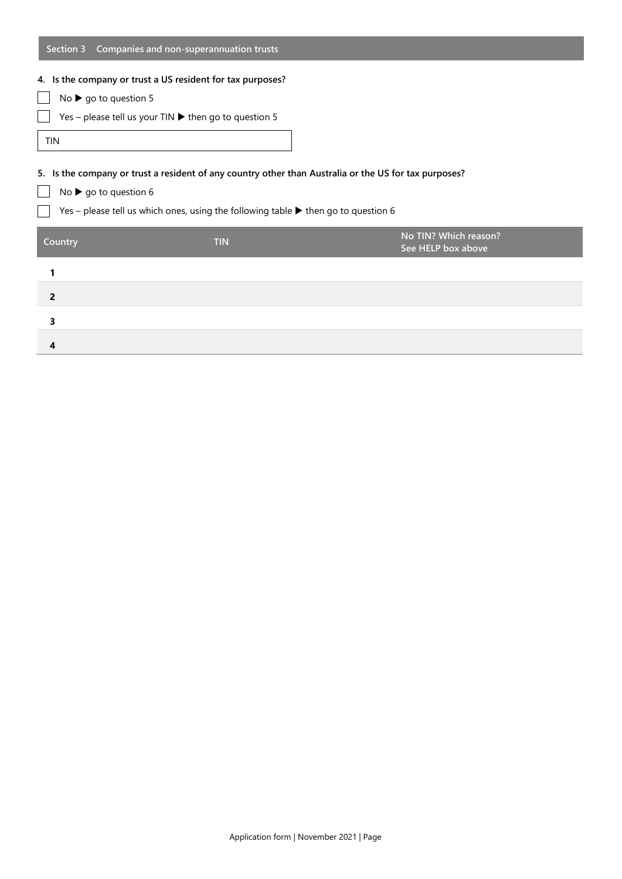| Section 3                            | Companies and non-superannuation trusts                                                                |                                             |  |  |
|--------------------------------------|--------------------------------------------------------------------------------------------------------|---------------------------------------------|--|--|
|                                      | 4. Is the company or trust a US resident for tax purposes?                                             |                                             |  |  |
| No $\triangleright$ go to question 5 |                                                                                                        |                                             |  |  |
|                                      | Yes - please tell us your TIN ▶ then go to question 5                                                  |                                             |  |  |
| <b>TIN</b>                           |                                                                                                        |                                             |  |  |
|                                      |                                                                                                        |                                             |  |  |
|                                      | 5. Is the company or trust a resident of any country other than Australia or the US for tax purposes?  |                                             |  |  |
| No $\triangleright$ go to question 6 |                                                                                                        |                                             |  |  |
|                                      |                                                                                                        |                                             |  |  |
|                                      | Yes – please tell us which ones, using the following table $\blacktriangleright$ then go to question 6 |                                             |  |  |
| Country                              | <b>TIN</b>                                                                                             | No TIN? Which reason?<br>See HELP box above |  |  |
| 1                                    |                                                                                                        |                                             |  |  |
| 2                                    |                                                                                                        |                                             |  |  |
| 3                                    |                                                                                                        |                                             |  |  |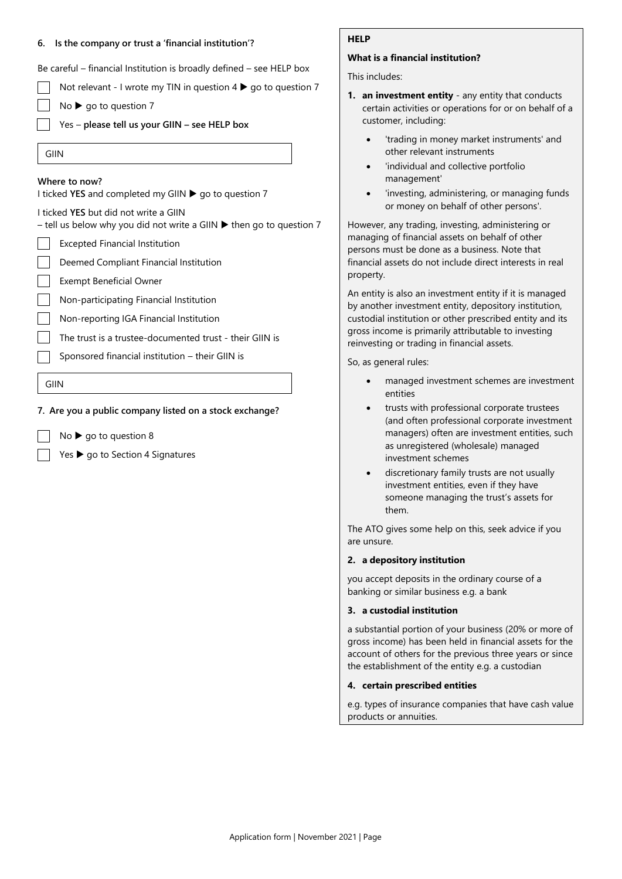#### **6. Is the company or trust a 'financial institution'?**

Be careful – financial Institution is broadly defined – see HELP box

Not relevant - I wrote my TIN in question  $4 \triangleright$  go to question 7

- $No \triangleright go$  to question 7
- Yes **please tell us your GIIN – see HELP box**
- GIIN

#### **Where to now?**

I ticked YES and completed my GIIN ▶ go to question 7

I ticked **YES** but did not write a GIIN

– tell us below why you did not write a GIIN  $\blacktriangleright$  then go to question 7

- Excepted Financial Institution
- Deemed Compliant Financial Institution
- Exempt Beneficial Owner

Non-participating Financial Institution

- Non-reporting IGA Financial Institution
- The trust is a trustee-documented trust their GIIN is
- Sponsored financial institution their GIIN is

GIIN

#### **7. Are you a public company listed on a stock exchange?**

- $No \triangleright go$  to question 8
- Yes  $\triangleright$  go to Section 4 Signatures

#### **HELP**

# **What is a financial institution?**

This includes:

- **1. an investment entity**  any entity that conducts certain activities or operations for or on behalf of a customer, including:
	- 'trading in money market instruments' and other relevant instruments
	- 'individual and collective portfolio management'
	- 'investing, administering, or managing funds or money on behalf of other persons'.

However, any trading, investing, administering or managing of financial assets on behalf of other persons must be done as a business. Note that financial assets do not include direct interests in real property.

An entity is also an investment entity if it is managed by another investment entity, depository institution, custodial institution or other prescribed entity and its gross income is primarily attributable to investing reinvesting or trading in financial assets.

So, as general rules:

- managed investment schemes are investment entities
- trusts with professional corporate trustees (and often professional corporate investment managers) often are investment entities, such as unregistered (wholesale) managed investment schemes
- discretionary family trusts are not usually investment entities, even if they have someone managing the trust's assets for them.

The ATO gives some help on this, seek advice if you are unsure.

#### **2. a depository institution**

you accept deposits in the ordinary course of a banking or similar business e.g. a bank

#### **3. a custodial institution**

a substantial portion of your business (20% or more of gross income) has been held in financial assets for the account of others for the previous three years or since the establishment of the entity e.g. a custodian

#### **4. certain prescribed entities**

e.g. types of insurance companies that have cash value products or annuities.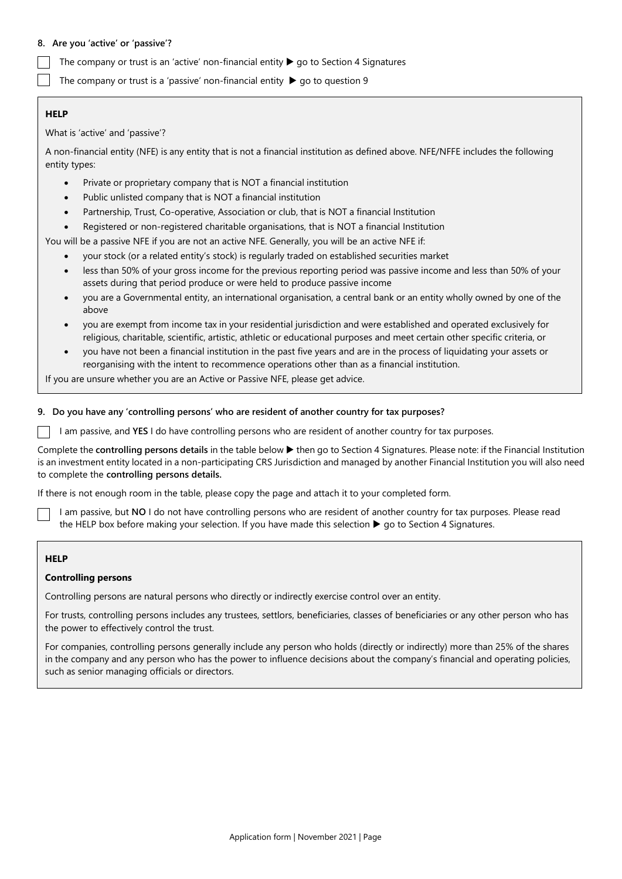### **8. Are you 'active' or 'passive'?**

The company or trust is an 'active' non-financial entity  $\blacktriangleright$  go to Section 4 Signatures

The company or trust is a 'passive' non-financial entity  $\blacktriangleright$  go to question 9

# **HELP**

What is 'active' and 'passive'?

A non-financial entity (NFE) is any entity that is not a financial institution as defined above. NFE/NFFE includes the following entity types:

- Private or proprietary company that is NOT a financial institution
- Public unlisted company that is NOT a financial institution
- Partnership, Trust, Co-operative, Association or club, that is NOT a financial Institution
- Registered or non-registered charitable organisations, that is NOT a financial Institution

You will be a passive NFE if you are not an active NFE. Generally, you will be an active NFE if:

- your stock (or a related entity's stock) is regularly traded on established securities market
- less than 50% of your gross income for the previous reporting period was passive income and less than 50% of your assets during that period produce or were held to produce passive income
- you are a Governmental entity, an international organisation, a central bank or an entity wholly owned by one of the above
- you are exempt from income tax in your residential jurisdiction and were established and operated exclusively for religious, charitable, scientific, artistic, athletic or educational purposes and meet certain other specific criteria, or
- you have not been a financial institution in the past five years and are in the process of liquidating your assets or reorganising with the intent to recommence operations other than as a financial institution.

If you are unsure whether you are an Active or Passive NFE, please get advice.

# **9. Do you have any 'controlling persons' who are resident of another country for tax purposes?**

I am passive, and **YES** I do have controlling persons who are resident of another country for tax purposes.

Complete the **controlling persons details** in the table below then go to Section 4 Signatures. Please note: if the Financial Institution is an investment entity located in a non-participating CRS Jurisdiction and managed by another Financial Institution you will also need to complete the **controlling persons details.**

If there is not enough room in the table, please copy the page and attach it to your completed form.

I am passive, but **NO** I do not have controlling persons who are resident of another country for tax purposes. Please read the HELP box before making your selection. If you have made this selection  $\blacktriangleright$  go to Section 4 Signatures.

# **HELP**

#### **Controlling persons**

Controlling persons are natural persons who directly or indirectly exercise control over an entity.

For trusts, controlling persons includes any trustees, settlors, beneficiaries, classes of beneficiaries or any other person who has the power to effectively control the trust.

For companies, controlling persons generally include any person who holds (directly or indirectly) more than 25% of the shares in the company and any person who has the power to influence decisions about the company's financial and operating policies, such as senior managing officials or directors.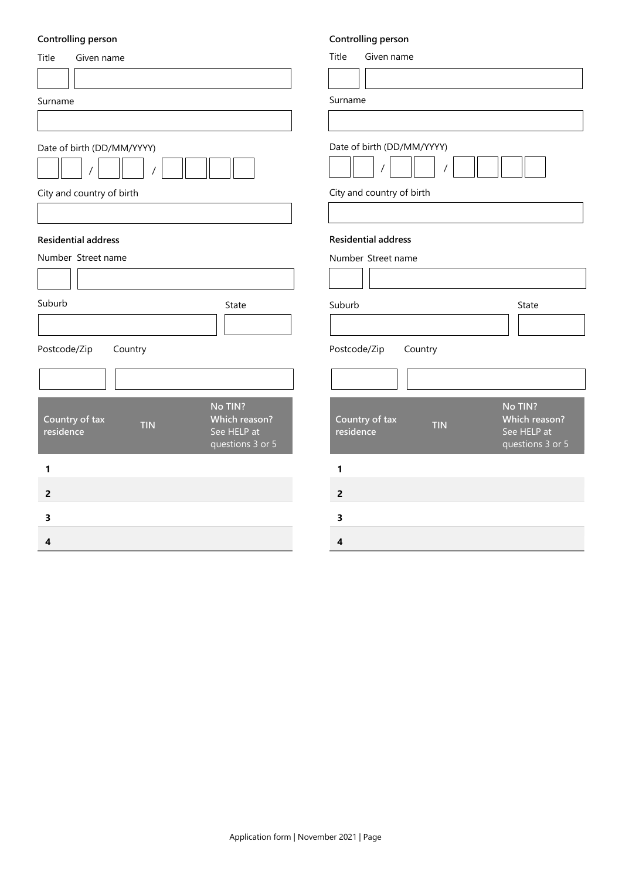# **Controlling person**

| Controlling person                                                                                       | Controlling person                                                                                       |
|----------------------------------------------------------------------------------------------------------|----------------------------------------------------------------------------------------------------------|
| Title<br>Given name                                                                                      | Title<br>Given name                                                                                      |
|                                                                                                          |                                                                                                          |
| Surname                                                                                                  | Surname                                                                                                  |
|                                                                                                          |                                                                                                          |
| Date of birth (DD/MM/YYYY)                                                                               | Date of birth (DD/MM/YYYY)                                                                               |
| City and country of birth                                                                                | City and country of birth                                                                                |
|                                                                                                          |                                                                                                          |
| <b>Residential address</b>                                                                               | <b>Residential address</b>                                                                               |
| Number Street name                                                                                       | Number Street name                                                                                       |
|                                                                                                          |                                                                                                          |
| Suburb<br>State                                                                                          | Suburb<br>State                                                                                          |
|                                                                                                          |                                                                                                          |
| Postcode/Zip<br>Country                                                                                  | Postcode/Zip<br>Country                                                                                  |
|                                                                                                          |                                                                                                          |
| No TIN?<br>Country of tax<br>Which reason?<br><b>TIN</b><br>See HELP at<br>residence<br>questions 3 or 5 | No TIN?<br>Country of tax<br>Which reason?<br><b>TIN</b><br>See HELP at<br>residence<br>questions 3 or 5 |
| 1                                                                                                        | 1                                                                                                        |
| $\overline{2}$                                                                                           | $\overline{2}$                                                                                           |
| 3                                                                                                        | 3                                                                                                        |
| 4                                                                                                        | 4                                                                                                        |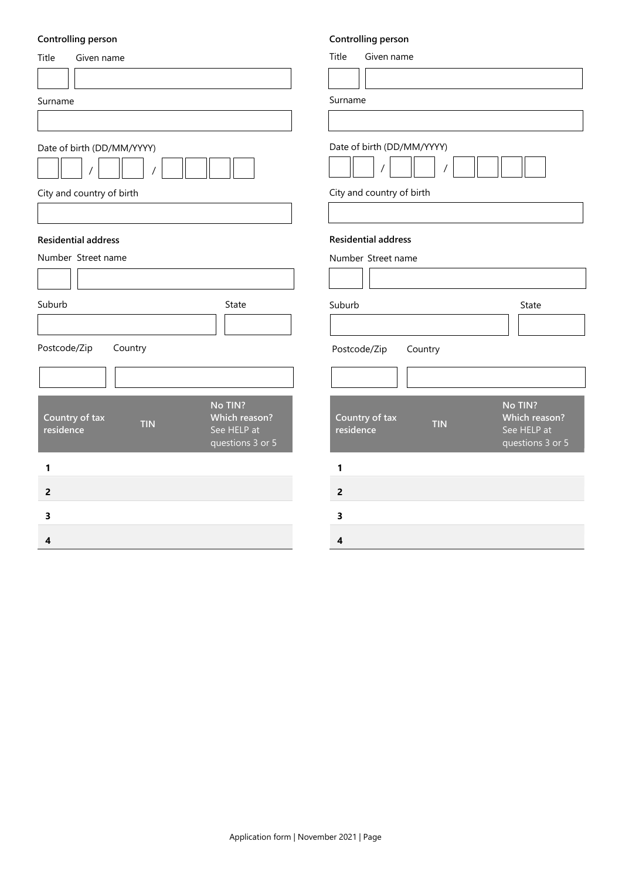# **Controlling person**

| <b>Controlling person</b>                                                                                       | Controlling person                                                                                       |
|-----------------------------------------------------------------------------------------------------------------|----------------------------------------------------------------------------------------------------------|
| Title<br>Given name                                                                                             | Title<br>Given name                                                                                      |
|                                                                                                                 |                                                                                                          |
| Surname                                                                                                         | Surname                                                                                                  |
|                                                                                                                 |                                                                                                          |
| Date of birth (DD/MM/YYYY)                                                                                      | Date of birth (DD/MM/YYYY)                                                                               |
| City and country of birth                                                                                       | City and country of birth                                                                                |
|                                                                                                                 |                                                                                                          |
| <b>Residential address</b>                                                                                      | <b>Residential address</b>                                                                               |
| Number Street name                                                                                              | Number Street name                                                                                       |
|                                                                                                                 |                                                                                                          |
| Suburb<br>State                                                                                                 | Suburb<br>State                                                                                          |
|                                                                                                                 |                                                                                                          |
| Postcode/Zip<br>Country                                                                                         | Postcode/Zip<br>Country                                                                                  |
|                                                                                                                 |                                                                                                          |
| No TIN?<br>Country of tax<br><b>Which reason?</b><br><b>TIN</b><br>See HELP at<br>residence<br>questions 3 or 5 | No TIN?<br>Country of tax<br>Which reason?<br><b>TIN</b><br>See HELP at<br>residence<br>questions 3 or 5 |
| 1                                                                                                               | 1                                                                                                        |
| $\overline{2}$                                                                                                  | $\overline{2}$                                                                                           |
| 3                                                                                                               | 3                                                                                                        |
| 4                                                                                                               | 4                                                                                                        |